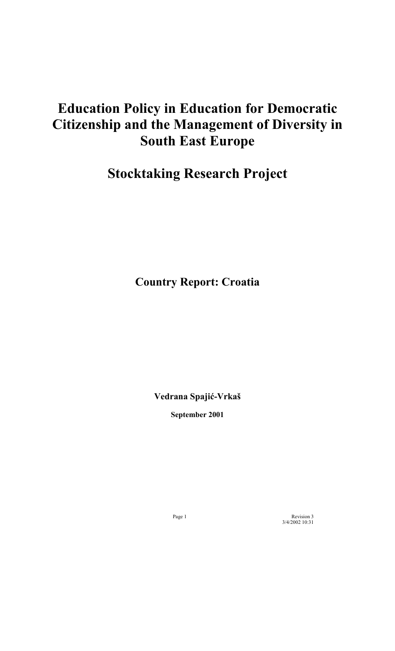# **Education Policy in Education for Democratic Citizenship and the Management of Diversity in South East Europe**

# **Stocktaking Research Project**

**Country Report: Croatia**

**Vedrana Spajić-Vrkaö** 

**September 2001** 

Page 1 Revision 3 3/4/2002 10:31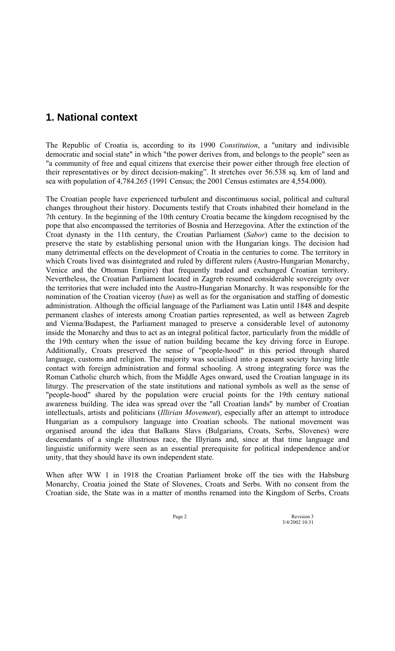# **1. National context**

The Republic of Croatia is, according to its 1990 *Constitution*, a "unitary and indivisible democratic and social state" in which "the power derives from, and belongs to the people" seen as "a community of free and equal citizens that exercise their power either through free election of their representatives or by direct decision-making". It stretches over 56.538 sq. km of land and sea with population of 4,784.265 (1991 Census; the 2001 Census estimates are 4,554.000).

The Croatian people have experienced turbulent and discontinuous social, political and cultural changes throughout their history. Documents testify that Croats inhabited their homeland in the 7th century. In the beginning of the 10th century Croatia became the kingdom recognised by the pope that also encompassed the territories of Bosnia and Herzegovina. After the extinction of the Croat dynasty in the 11th century, the Croatian Parliament (*Sabor*) came to the decision to preserve the state by establishing personal union with the Hungarian kings. The decision had many detrimental effects on the development of Croatia in the centuries to come. The territory in which Croats lived was disintegrated and ruled by different rulers (Austro-Hungarian Monarchy, Venice and the Ottoman Empire) that frequently traded and exchanged Croatian territory. Nevertheless, the Croatian Parliament located in Zagreb resumed considerable sovereignty over the territories that were included into the Austro-Hungarian Monarchy. It was responsible for the nomination of the Croatian viceroy (*ban*) as well as for the organisation and staffing of domestic administration. Although the official language of the Parliament was Latin until 1848 and despite permanent clashes of interests among Croatian parties represented, as well as between Zagreb and Vienna/Budapest, the Parliament managed to preserve a considerable level of autonomy inside the Monarchy and thus to act as an integral political factor, particularly from the middle of the 19th century when the issue of nation building became the key driving force in Europe. Additionally, Croats preserved the sense of "people-hood" in this period through shared language, customs and religion. The majority was socialised into a peasant society having little contact with foreign administration and formal schooling. A strong integrating force was the Roman Catholic church which, from the Middle Ages onward, used the Croatian language in its liturgy. The preservation of the state institutions and national symbols as well as the sense of "people-hood" shared by the population were crucial points for the 19th century national awareness building. The idea was spread over the "all Croatian lands" by number of Croatian intellectuals, artists and politicians (*Illirian Movement*), especially after an attempt to introduce Hungarian as a compulsory language into Croatian schools. The national movement was organised around the idea that Balkans Slavs (Bulgarians, Croats, Serbs, Slovenes) were descendants of a single illustrious race, the Illyrians and, since at that time language and linguistic uniformity were seen as an essential prerequisite for political independence and/or unity, that they should have its own independent state.

When after WW 1 in 1918 the Croatian Parliament broke off the ties with the Habsburg Monarchy, Croatia joined the State of Slovenes, Croats and Serbs. With no consent from the Croatian side, the State was in a matter of months renamed into the Kingdom of Serbs, Croats

Page 2 Revision 3 3/4/2002 10:31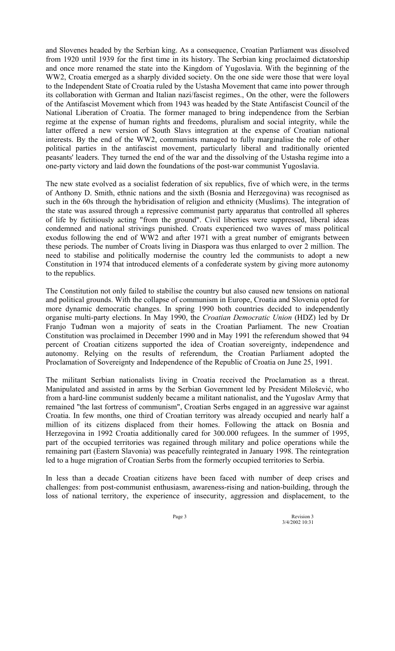and Slovenes headed by the Serbian king. As a consequence, Croatian Parliament was dissolved from 1920 until 1939 for the first time in its history. The Serbian king proclaimed dictatorship and once more renamed the state into the Kingdom of Yugoslavia. With the beginning of the WW2, Croatia emerged as a sharply divided society. On the one side were those that were loyal to the Independent State of Croatia ruled by the Ustasha Movement that came into power through its collaboration with German and Italian nazi/fascist regimes., On the other, were the followers of the Antifascist Movement which from 1943 was headed by the State Antifascist Council of the National Liberation of Croatia. The former managed to bring independence from the Serbian regime at the expense of human rights and freedoms, pluralism and social integrity, while the latter offered a new version of South Slavs integration at the expense of Croatian national interests. By the end of the WW2, communists managed to fully marginalise the role of other political parties in the antifascist movement, particularly liberal and traditionally oriented peasants' leaders. They turned the end of the war and the dissolving of the Ustasha regime into a one-party victory and laid down the foundations of the post-war communist Yugoslavia.

The new state evolved as a socialist federation of six republics, five of which were, in the terms of Anthony D. Smith, ethnic nations and the sixth (Bosnia and Herzegovina) was recognised as such in the 60s through the hybridisation of religion and ethnicity (Muslims). The integration of the state was assured through a repressive communist party apparatus that controlled all spheres of life by fictitiously acting "from the ground". Civil liberties were suppressed, liberal ideas condemned and national strivings punished. Croats experienced two waves of mass political exodus following the end of WW2 and after 1971 with a great number of emigrants between these periods. The number of Croats living in Diaspora was thus enlarged to over 2 million. The need to stabilise and politically modernise the country led the communists to adopt a new Constitution in 1974 that introduced elements of a confederate system by giving more autonomy to the republics.

The Constitution not only failed to stabilise the country but also caused new tensions on national and political grounds. With the collapse of communism in Europe, Croatia and Slovenia opted for more dynamic democratic changes. In spring 1990 both countries decided to independently organise multi-party elections. In May 1990, the *Croatian Democratic Union* (HDZ) led by Dr Franjo Tuđman won a majority of seats in the Croatian Parliament. The new Croatian Constitution was proclaimed in December 1990 and in May 1991 the referendum showed that 94 percent of Croatian citizens supported the idea of Croatian sovereignty, independence and autonomy. Relying on the results of referendum, the Croatian Parliament adopted the Proclamation of Sovereignty and Independence of the Republic of Croatia on June 25, 1991.

The militant Serbian nationalists living in Croatia received the Proclamation as a threat. Manipulated and assisted in arms by the Serbian Government led by President Miloöević, who from a hard-line communist suddenly became a militant nationalist, and the Yugoslav Army that remained "the last fortress of communism", Croatian Serbs engaged in an aggressive war against Croatia. In few months, one third of Croatian territory was already occupied and nearly half a million of its citizens displaced from their homes. Following the attack on Bosnia and Herzegovina in 1992 Croatia additionally cared for 300.000 refugees. In the summer of 1995, part of the occupied territories was regained through military and police operations while the remaining part (Eastern Slavonia) was peacefully reintegrated in January 1998. The reintegration led to a huge migration of Croatian Serbs from the formerly occupied territories to Serbia.

In less than a decade Croatian citizens have been faced with number of deep crises and challenges: from post-communist enthusiasm, awareness-rising and nation-building, through the loss of national territory, the experience of insecurity, aggression and displacement, to the

Page 3 Revision 3 3/4/2002 10:31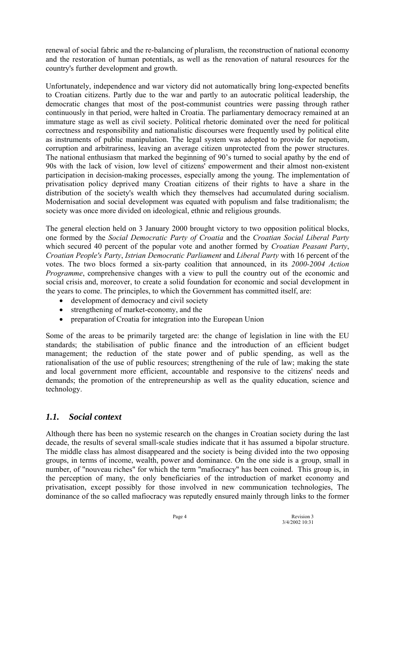renewal of social fabric and the re-balancing of pluralism, the reconstruction of national economy and the restoration of human potentials, as well as the renovation of natural resources for the country's further development and growth.

Unfortunately, independence and war victory did not automatically bring long-expected benefits to Croatian citizens. Partly due to the war and partly to an autocratic political leadership, the democratic changes that most of the post-communist countries were passing through rather continuously in that period, were halted in Croatia. The parliamentary democracy remained at an immature stage as well as civil society. Political rhetoric dominated over the need for political correctness and responsibility and nationalistic discourses were frequently used by political elite as instruments of public manipulation. The legal system was adopted to provide for nepotism, corruption and arbitrariness, leaving an average citizen unprotected from the power structures. The national enthusiasm that marked the beginning of 90's turned to social apathy by the end of 90s with the lack of vision, low level of citizens' empowerment and their almost non-existent participation in decision-making processes, especially among the young. The implementation of privatisation policy deprived many Croatian citizens of their rights to have a share in the distribution of the society's wealth which they themselves had accumulated during socialism. Modernisation and social development was equated with populism and false traditionalism; the society was once more divided on ideological, ethnic and religious grounds.

The general election held on 3 January 2000 brought victory to two opposition political blocks, one formed by the *Social Democratic Party of Croatia* and the *Croatian Social Liberal Party* which secured 40 percent of the popular vote and another formed by *Croatian Peasant Party*, *Croatian People's Party*, *Istrian Democratic Parliament* and *Liberal Party* with 16 percent of the votes. The two blocs formed a six-party coalition that announced, in its *2000-2004 Action Programme*, comprehensive changes with a view to pull the country out of the economic and social crisis and, moreover, to create a solid foundation for economic and social development in the years to come. The principles, to which the Government has committed itself, are:

- development of democracy and civil society
- strengthening of market-economy, and the
- preparation of Croatia for integration into the European Union

Some of the areas to be primarily targeted are: the change of legislation in line with the EU standards; the stabilisation of public finance and the introduction of an efficient budget management; the reduction of the state power and of public spending, as well as the rationalisation of the use of public resources; strengthening of the rule of law; making the state and local government more efficient, accountable and responsive to the citizens' needs and demands; the promotion of the entrepreneurship as well as the quality education, science and technology.

### *1.1. Social context*

Although there has been no systemic research on the changes in Croatian society during the last decade, the results of several small-scale studies indicate that it has assumed a bipolar structure. The middle class has almost disappeared and the society is being divided into the two opposing groups, in terms of income, wealth, power and dominance. On the one side is a group, small in number, of "nouveau riches" for which the term "mafiocracy" has been coined. This group is, in the perception of many, the only beneficiaries of the introduction of market economy and privatisation, except possibly for those involved in new communication technologies, The dominance of the so called mafiocracy was reputedly ensured mainly through links to the former

Page 4 Revision 3 3/4/2002 10:31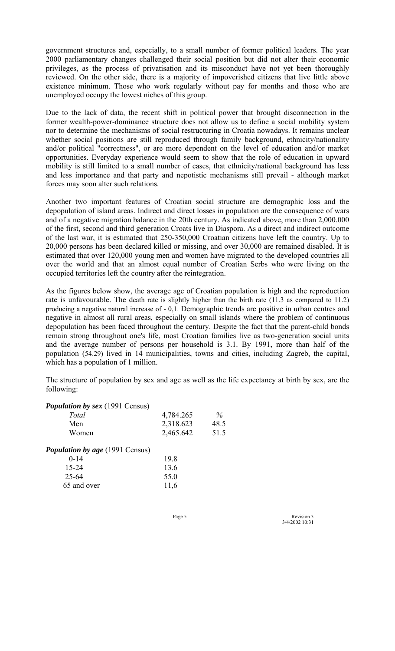government structures and, especially, to a small number of former political leaders. The year 2000 parliamentary changes challenged their social position but did not alter their economic privileges, as the process of privatisation and its misconduct have not yet been thoroughly reviewed. On the other side, there is a majority of impoverished citizens that live little above existence minimum. Those who work regularly without pay for months and those who are unemployed occupy the lowest niches of this group.

Due to the lack of data, the recent shift in political power that brought disconnection in the former wealth-power-dominance structure does not allow us to define a social mobility system nor to determine the mechanisms of social restructuring in Croatia nowadays. It remains unclear whether social positions are still reproduced through family background, ethnicity/nationality and/or political "correctness", or are more dependent on the level of education and/or market opportunities. Everyday experience would seem to show that the role of education in upward mobility is still limited to a small number of cases, that ethnicity/national background has less and less importance and that party and nepotistic mechanisms still prevail - although market forces may soon alter such relations.

Another two important features of Croatian social structure are demographic loss and the depopulation of island areas. Indirect and direct losses in population are the consequence of wars and of a negative migration balance in the 20th century. As indicated above, more than 2,000.000 of the first, second and third generation Croats live in Diaspora. As a direct and indirect outcome of the last war, it is estimated that 250-350,000 Croatian citizens have left the country. Up to 20,000 persons has been declared killed or missing, and over 30,000 are remained disabled. It is estimated that over 120,000 young men and women have migrated to the developed countries all over the world and that an almost equal number of Croatian Serbs who were living on the occupied territories left the country after the reintegration.

As the figures below show, the average age of Croatian population is high and the reproduction rate is unfavourable. The death rate is slightly higher than the birth rate (11.3 as compared to 11.2) producing a negative natural increase of - 0,1. Demographic trends are positive in urban centres and negative in almost all rural areas, especially on small islands where the problem of continuous depopulation has been faced throughout the century. Despite the fact that the parent-child bonds remain strong throughout one's life, most Croatian families live as two-generation social units and the average number of persons per household is 3.1. By 1991, more than half of the population (54.29) lived in 14 municipalities, towns and cities, including Zagreb, the capital, which has a population of 1 million.

The structure of population by sex and age as well as the life expectancy at birth by sex, are the following:

#### *Population by sex (1991 Census)*

| Total                                  | 4,784.265 | $\%$ |
|----------------------------------------|-----------|------|
| Men                                    | 2,318.623 | 48.5 |
| Women                                  | 2,465.642 | 51.5 |
| <b>Population by age</b> (1991 Census) |           |      |
| $0 - 14$                               | 19.8      |      |
| $15 - 24$                              | 13.6      |      |
| $25 - 64$                              | 55.0      |      |
| 65 and over                            | 11,6      |      |
|                                        |           |      |

Page 5 Revision 3 3/4/2002 10:31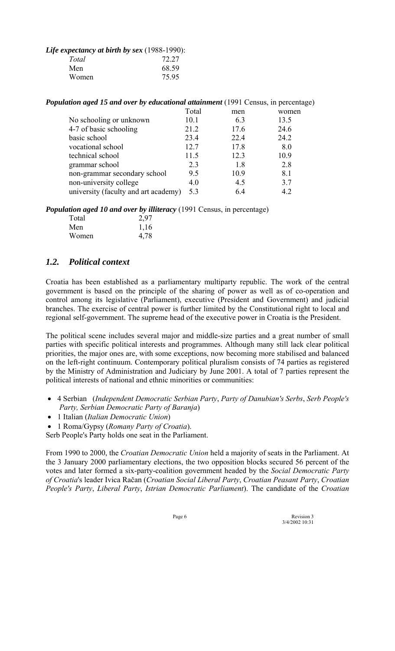#### *Life expectancy at birth by sex* (1988-1990):

| 72.27 |
|-------|
| 68.59 |
| 75.95 |
|       |

| <b>Population aged 15 and over by educational attainment</b> (1991 Census, in percentage) |  |  |
|-------------------------------------------------------------------------------------------|--|--|
|-------------------------------------------------------------------------------------------|--|--|

|                                      | Total | men  | women |
|--------------------------------------|-------|------|-------|
| No schooling or unknown              | 10.1  | 6.3  | 13.5  |
| 4-7 of basic schooling               | 21.2  | 17.6 | 24.6  |
| basic school                         | 23.4  | 22.4 | 24.2  |
| vocational school                    | 12.7  | 17.8 | 8.0   |
| technical school                     | 11.5  | 12.3 | 10.9  |
| grammar school                       | 2.3   | 18   | 2.8   |
| non-grammar secondary school         | 9.5   | 10.9 | 8.1   |
| non-university college               | 4.0   | 4.5  | 3.7   |
| university (faculty and art academy) | 5.3   | 64   | 4.2   |

*Population aged 10 and over by illiteracy* (1991 Census, in percentage)

| Total | 2,97 |
|-------|------|
| Men   | 1,16 |
| Women | 4,78 |

# *1.2. Political context*

Croatia has been established as a parliamentary multiparty republic. The work of the central government is based on the principle of the sharing of power as well as of co-operation and control among its legislative (Parliament), executive (President and Government) and judicial branches. The exercise of central power is further limited by the Constitutional right to local and regional self-government. The supreme head of the executive power in Croatia is the President.

The political scene includes several major and middle-size parties and a great number of small parties with specific political interests and programmes. Although many still lack clear political priorities, the major ones are, with some exceptions, now becoming more stabilised and balanced on the left-right continuum. Contemporary political pluralism consists of 74 parties as registered by the Ministry of Administration and Judiciary by June 2001. A total of 7 parties represent the political interests of national and ethnic minorities or communities:

- 4 Serbian (*Independent Democratic Serbian Party*, *Party of Danubian's Serbs*, *Serb People's Party, Serbian Democratic Party of Baranja*)
- 1 Italian (*Italian Democratic Union*)
- 1 Roma/Gypsy (*Romany Party of Croatia*).

Serb People's Party holds one seat in the Parliament.

From 1990 to 2000, the *Croatian Democratic Union* held a majority of seats in the Parliament. At the 3 January 2000 parliamentary elections, the two opposition blocks secured 56 percent of the votes and later formed a six-party-coalition government headed by the *Social Democratic Party of Croatia*'s leader Ivica Račan (*Croatian Social Liberal Party*, *Croatian Peasant Party*, *Croatian People's Party*, *Liberal Party*, *Istrian Democratic Parliament*). The candidate of the *Croatian* 

Page 6 Revision 3 3/4/2002 10:31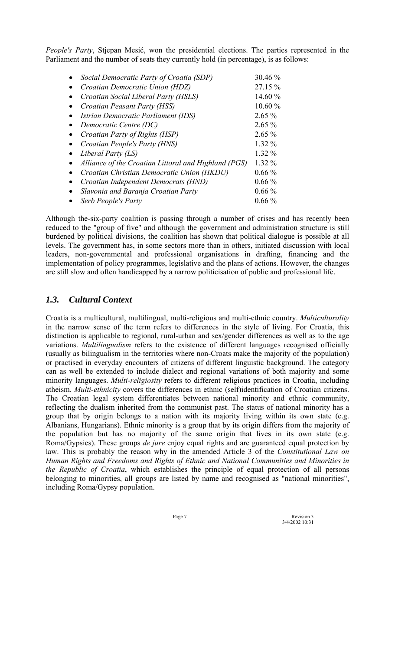*People's Party*, Stjepan Mesić, won the presidential elections. The parties represented in the Parliament and the number of seats they currently hold (in percentage), is as follows:

|           | Social Democratic Party of Croatia (SDP)             | 30.46 %  |
|-----------|------------------------------------------------------|----------|
|           | Croatian Democratic Union (HDZ)                      | 27.15 %  |
|           | Croatian Social Liberal Party (HSLS)                 | 14.60 %  |
|           | Croatian Peasant Party (HSS)                         | 10.60%   |
|           | Istrian Democratic Parliament (IDS)                  | $2.65\%$ |
| $\bullet$ | Democratic Centre (DC)                               | $2.65\%$ |
|           | Croatian Party of Rights (HSP)                       | $2.65\%$ |
|           | Croatian People's Party (HNS)                        | $1.32\%$ |
|           | Liberal Party (LS)                                   | $1.32\%$ |
|           | Alliance of the Croatian Littoral and Highland (PGS) | $1.32\%$ |
|           | Croatian Christian Democratic Union (HKDU)           | $0.66\%$ |
|           | Croatian Independent Democrats (HND)                 | $0.66\%$ |
|           | Slavonia and Baranja Croatian Party                  | $0.66\%$ |
|           | Serb People's Party                                  | $0.66\%$ |

Although the-six-party coalition is passing through a number of crises and has recently been reduced to the "group of five" and although the government and administration structure is still burdened by political divisions, the coalition has shown that political dialogue is possible at all levels. The government has, in some sectors more than in others, initiated discussion with local leaders, non-governmental and professional organisations in drafting, financing and the implementation of policy programmes, legislative and the plans of actions. However, the changes are still slow and often handicapped by a narrow politicisation of public and professional life.

### *1.3. Cultural Context*

Croatia is a multicultural, multilingual, multi-religious and multi-ethnic country. *Multiculturality* in the narrow sense of the term refers to differences in the style of living. For Croatia, this distinction is applicable to regional, rural-urban and sex/gender differences as well as to the age variations. *Multilingualism* refers to the existence of different languages recognised officially (usually as bilingualism in the territories where non-Croats make the majority of the population) or practised in everyday encounters of citizens of different linguistic background. The category can as well be extended to include dialect and regional variations of both majority and some minority languages. *Multi-religiosity* refers to different religious practices in Croatia, including atheism. *Multi-ethnicity* covers the differences in ethnic (self)identification of Croatian citizens. The Croatian legal system differentiates between national minority and ethnic community, reflecting the dualism inherited from the communist past. The status of national minority has a group that by origin belongs to a nation with its majority living within its own state (e.g. Albanians, Hungarians). Ethnic minority is a group that by its origin differs from the majority of the population but has no majority of the same origin that lives in its own state (e.g. Roma/Gypsies). These groups *de jure* enjoy equal rights and are guaranteed equal protection by law. This is probably the reason why in the amended Article 3 of the *Constitutional Law on Human Rights and Freedoms and Rights of Ethnic and National Communities and Minorities in the Republic of Croatia*, which establishes the principle of equal protection of all persons belonging to minorities, all groups are listed by name and recognised as "national minorities", including Roma/Gypsy population.

Page 7 Revision 3<br>  $3/4/20021031$ 3/4/2002 10:31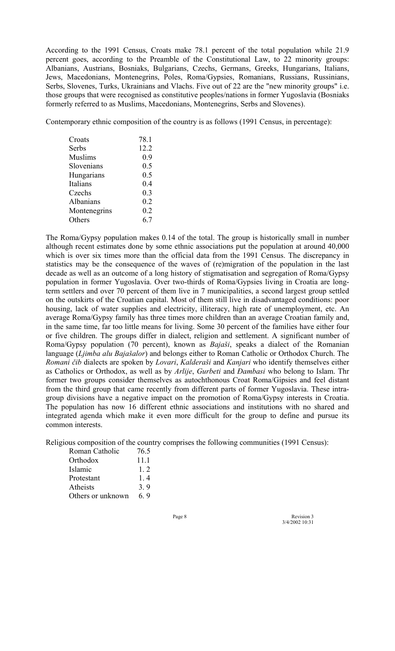According to the 1991 Census, Croats make 78.1 percent of the total population while 21.9 percent goes, according to the Preamble of the Constitutional Law, to 22 minority groups: Albanians, Austrians, Bosniaks, Bulgarians, Czechs, Germans, Greeks, Hungarians, Italians, Jews, Macedonians, Montenegrins, Poles, Roma/Gypsies, Romanians, Russians, Russinians, Serbs, Slovenes, Turks, Ukrainians and Vlachs. Five out of 22 are the "new minority groups" i.e. those groups that were recognised as constitutive peoples/nations in former Yugoslavia (Bosniaks formerly referred to as Muslims, Macedonians, Montenegrins, Serbs and Slovenes).

Contemporary ethnic composition of the country is as follows (1991 Census, in percentage):

| Croats         | 78.1 |
|----------------|------|
| Serbs          | 12.2 |
| <b>Muslims</b> | 0.9  |
| Slovenians     | 0.5  |
| Hungarians     | 0.5  |
| Italians       | 0.4  |
| Czechs         | 0.3  |
| Albanians      | 0.2  |
| Montenegrins   | 0.2  |
| Others         | 6.7  |

The Roma/Gypsy population makes 0.14 of the total. The group is historically small in number although recent estimates done by some ethnic associations put the population at around 40,000 which is over six times more than the official data from the 1991 Census. The discrepancy in statistics may be the consequence of the waves of (re)migration of the population in the last decade as well as an outcome of a long history of stigmatisation and segregation of Roma/Gypsy population in former Yugoslavia. Over two-thirds of Roma/Gypsies living in Croatia are longterm settlers and over 70 percent of them live in 7 municipalities, a second largest group settled on the outskirts of the Croatian capital. Most of them still live in disadvantaged conditions: poor housing, lack of water supplies and electricity, illiteracy, high rate of unemployment, etc. An average Roma/Gypsy family has three times more children than an average Croatian family and, in the same time, far too little means for living. Some 30 percent of the families have either four or five children. The groups differ in dialect, religion and settlement. A significant number of Roma/Gypsy population (70 percent), known as *Bajaöi*, speaks a dialect of the Romanian language (*Ljimba alu Bajaöalor*) and belongs either to Roman Catholic or Orthodox Church. The *Romani čib* dialects are spoken by *Lovari*, *Kalderaöi* and *Kanjari* who identify themselves either as Catholics or Orthodox, as well as by *Arlije*, *Gurbeti* and *Đambasi* who belong to Islam. Thr former two groups consider themselves as autochthonous Croat Roma/Gipsies and feel distant from the third group that came recently from different parts of former Yugoslavia. These intragroup divisions have a negative impact on the promotion of Roma/Gypsy interests in Croatia. The population has now 16 different ethnic associations and institutions with no shared and integrated agenda which make it even more difficult for the group to define and pursue its common interests.

Religious composition of the country comprises the following communities (1991 Census):

| Roman Catholic    | 76.5   |
|-------------------|--------|
| Orthodox          | 11.1   |
| Islamic           | $1\,2$ |
| Protestant        | 1.4    |
| Atheists          | 3.9    |
| Others or unknown | 6,9    |

Page 8 Revision 3<br>3/4/2002 10:31 3/4/2002 10:31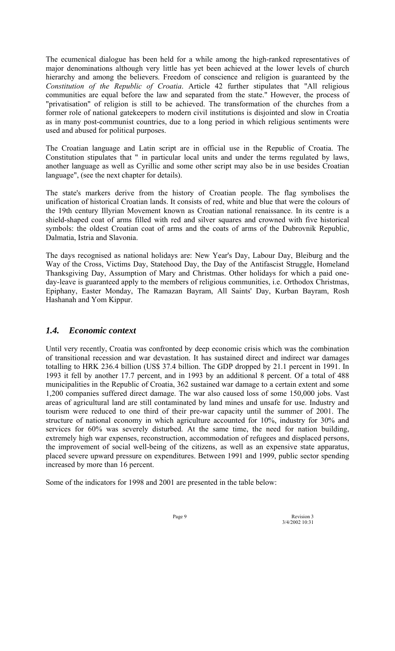The ecumenical dialogue has been held for a while among the high-ranked representatives of major denominations although very little has yet been achieved at the lower levels of church hierarchy and among the believers. Freedom of conscience and religion is guaranteed by the *Constitution of the Republic of Croatia*. Article 42 further stipulates that "All religious communities are equal before the law and separated from the state." However, the process of "privatisation" of religion is still to be achieved. The transformation of the churches from a former role of national gatekeepers to modern civil institutions is disjointed and slow in Croatia as in many post-communist countries, due to a long period in which religious sentiments were used and abused for political purposes.

The Croatian language and Latin script are in official use in the Republic of Croatia. The Constitution stipulates that " in particular local units and under the terms regulated by laws, another language as well as Cyrillic and some other script may also be in use besides Croatian language", (see the next chapter for details).

The state's markers derive from the history of Croatian people. The flag symbolises the unification of historical Croatian lands. It consists of red, white and blue that were the colours of the 19th century Illyrian Movement known as Croatian national renaissance. In its centre is a shield-shaped coat of arms filled with red and silver squares and crowned with five historical symbols: the oldest Croatian coat of arms and the coats of arms of the Dubrovnik Republic, Dalmatia, Istria and Slavonia.

The days recognised as national holidays are: New Year's Day, Labour Day, Bleiburg and the Way of the Cross, Victims Day, Statehood Day, the Day of the Antifascist Struggle, Homeland Thanksgiving Day, Assumption of Mary and Christmas. Other holidays for which a paid oneday-leave is guaranteed apply to the members of religious communities, i.e. Orthodox Christmas, Epiphany, Easter Monday, The Ramazan Bayram, All Saints' Day, Kurban Bayram, Rosh Hashanah and Yom Kippur.

### *1.4. Economic context*

Until very recently, Croatia was confronted by deep economic crisis which was the combination of transitional recession and war devastation. It has sustained direct and indirect war damages totalling to HRK 236.4 billion (US\$ 37.4 billion. The GDP dropped by 21.1 percent in 1991. In 1993 it fell by another 17.7 percent, and in 1993 by an additional 8 percent. Of a total of 488 municipalities in the Republic of Croatia, 362 sustained war damage to a certain extent and some 1,200 companies suffered direct damage. The war also caused loss of some 150,000 jobs. Vast areas of agricultural land are still contaminated by land mines and unsafe for use. Industry and tourism were reduced to one third of their pre-war capacity until the summer of 2001. The structure of national economy in which agriculture accounted for 10%, industry for 30% and services for 60% was severely disturbed. At the same time, the need for nation building, extremely high war expenses, reconstruction, accommodation of refugees and displaced persons, the improvement of social well-being of the citizens, as well as an expensive state apparatus, placed severe upward pressure on expenditures. Between 1991 and 1999, public sector spending increased by more than 16 percent.

Some of the indicators for 1998 and 2001 are presented in the table below:

Page 9 Revision 3 3/4/2002 10:31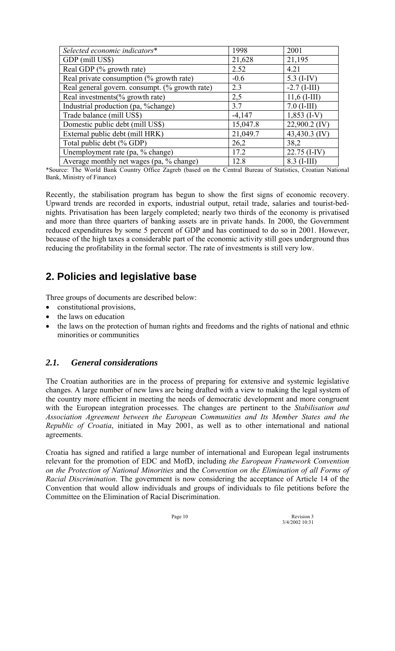| Selected economic indicators*                  | 1998     | 2001            |
|------------------------------------------------|----------|-----------------|
| GDP (mill US\$)                                | 21,628   | 21,195          |
| Real GDP (% growth rate)                       | 2.52     | 4.21            |
| Real private consumption (% growth rate)       | $-0.6$   | 5.3 $(I-IV)$    |
| Real general govern. consumpt. (% growth rate) | 2.3      | $-2.7$ (I-III)  |
| Real investments(% growth rate)                | 2,5      | $11,6$ (I-III)  |
| Industrial production (pa, %change)            | 3.7      | $7.0$ (I-III)   |
| Trade balance (mill US\$)                      | $-4,147$ | $1,853$ (I-V)   |
| Domestic public debt (mill US\$)               | 15,047.8 | $22,900.2$ (IV) |
| External public debt (mill HRK)                | 21,049.7 | 43,430.3 (IV)   |
| Total public debt (% GDP)                      | 26,2     | 38,2            |
| Unemployment rate (pa, % change)               | 17.2     | $22.75$ (I-IV)  |
| Average monthly net wages (pa, % change)       | 12.8     | $8.3$ (I-III)   |

\*Source: The World Bank Country Office Zagreb (based on the Central Bureau of Statistics, Croatian National Bank, Ministry of Finance)

Recently, the stabilisation program has begun to show the first signs of economic recovery. Upward trends are recorded in exports, industrial output, retail trade, salaries and tourist-bednights. Privatisation has been largely completed; nearly two thirds of the economy is privatised and more than three quarters of banking assets are in private hands. In 2000, the Government reduced expenditures by some 5 percent of GDP and has continued to do so in 2001. However, because of the high taxes a considerable part of the economic activity still goes underground thus reducing the profitability in the formal sector. The rate of investments is still very low.

# **2. Policies and legislative base**

Three groups of documents are described below:

- constitutional provisions,
- the laws on education
- the laws on the protection of human rights and freedoms and the rights of national and ethnic minorities or communities

# *2.1. General considerations*

The Croatian authorities are in the process of preparing for extensive and systemic legislative changes. A large number of new laws are being drafted with a view to making the legal system of the country more efficient in meeting the needs of democratic development and more congruent with the European integration processes. The changes are pertinent to the *Stabilisation and Association Agreement between the European Communities and Its Member States and the Republic of Croatia*, initiated in May 2001, as well as to other international and national agreements.

Croatia has signed and ratified a large number of international and European legal instruments relevant for the promotion of EDC and MofD, including *the European Framework Convention on the Protection of National Minorities* and the *Convention on the Elimination of all Forms of Racial Discrimination*. The government is now considering the acceptance of Article 14 of the Convention that would allow individuals and groups of individuals to file petitions before the Committee on the Elimination of Racial Discrimination.

Page 10 Revision 3  $3/4/20021031$ 3/4/2002 10:31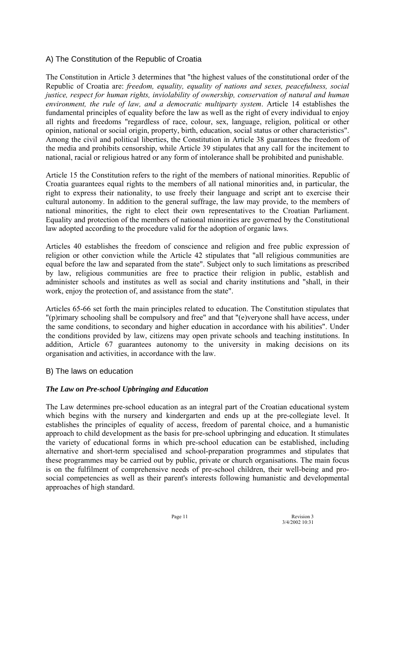### A) The Constitution of the Republic of Croatia

The Constitution in Article 3 determines that "the highest values of the constitutional order of the Republic of Croatia are: *freedom, equality, equality of nations and sexes, peacefulness, social justice, respect for human rights, inviolability of ownership, conservation of natural and human environment, the rule of law, and a democratic multiparty system*. Article 14 establishes the fundamental principles of equality before the law as well as the right of every individual to enjoy all rights and freedoms "regardless of race, colour, sex, language, religion, political or other opinion, national or social origin, property, birth, education, social status or other characteristics". Among the civil and political liberties, the Constitution in Article 38 guarantees the freedom of the media and prohibits censorship, while Article 39 stipulates that any call for the incitement to national, racial or religious hatred or any form of intolerance shall be prohibited and punishable.

Article 15 the Constitution refers to the right of the members of national minorities. Republic of Croatia guarantees equal rights to the members of all national minorities and, in particular, the right to express their nationality, to use freely their language and script ant to exercise their cultural autonomy. In addition to the general suffrage, the law may provide, to the members of national minorities, the right to elect their own representatives to the Croatian Parliament. Equality and protection of the members of national minorities are governed by the Constitutional law adopted according to the procedure valid for the adoption of organic laws.

Articles 40 establishes the freedom of conscience and religion and free public expression of religion or other conviction while the Article 42 stipulates that "all religious communities are equal before the law and separated from the state". Subject only to such limitations as prescribed by law, religious communities are free to practice their religion in public, establish and administer schools and institutes as well as social and charity institutions and "shall, in their work, enjoy the protection of, and assistance from the state".

Articles 65-66 set forth the main principles related to education. The Constitution stipulates that "(p)rimary schooling shall be compulsory and free" and that "(e)veryone shall have access, under the same conditions, to secondary and higher education in accordance with his abilities". Under the conditions provided by law, citizens may open private schools and teaching institutions. In addition, Article 67 guarantees autonomy to the university in making decisions on its organisation and activities, in accordance with the law.

### B) The laws on education

### *The Law on Pre-school Upbringing and Education*

The Law determines pre-school education as an integral part of the Croatian educational system which begins with the nursery and kindergarten and ends up at the pre-collegiate level. It establishes the principles of equality of access, freedom of parental choice, and a humanistic approach to child development as the basis for pre-school upbringing and education. It stimulates the variety of educational forms in which pre-school education can be established, including alternative and short-term specialised and school-preparation programmes and stipulates that these programmes may be carried out by public, private or church organisations. The main focus is on the fulfilment of comprehensive needs of pre-school children, their well-being and prosocial competencies as well as their parent's interests following humanistic and developmental approaches of high standard.

Page 11 Revision 3<br>3/4/2002 10:31 3/4/2002 10:31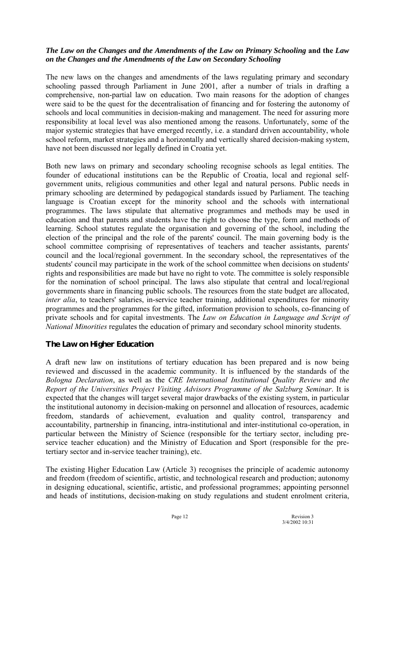### *The Law on the Changes and the Amendments of the Law on Primary Schooling* **and the** *Law on the Changes and the Amendments of the Law on Secondary Schooling*

The new laws on the changes and amendments of the laws regulating primary and secondary schooling passed through Parliament in June 2001, after a number of trials in drafting a comprehensive, non-partial law on education. Two main reasons for the adoption of changes were said to be the quest for the decentralisation of financing and for fostering the autonomy of schools and local communities in decision-making and management. The need for assuring more responsibility at local level was also mentioned among the reasons. Unfortunately, some of the major systemic strategies that have emerged recently, i.e. a standard driven accountability, whole school reform, market strategies and a horizontally and vertically shared decision-making system, have not been discussed nor legally defined in Croatia yet.

Both new laws on primary and secondary schooling recognise schools as legal entities. The founder of educational institutions can be the Republic of Croatia, local and regional selfgovernment units, religious communities and other legal and natural persons. Public needs in primary schooling are determined by pedagogical standards issued by Parliament. The teaching language is Croatian except for the minority school and the schools with international programmes. The laws stipulate that alternative programmes and methods may be used in education and that parents and students have the right to choose the type, form and methods of learning. School statutes regulate the organisation and governing of the school, including the election of the principal and the role of the parents' council. The main governing body is the school committee comprising of representatives of teachers and teacher assistants, parents' council and the local/regional government. In the secondary school, the representatives of the students' council may participate in the work of the school committee when decisions on students' rights and responsibilities are made but have no right to vote. The committee is solely responsible for the nomination of school principal. The laws also stipulate that central and local/regional governments share in financing public schools. The resources from the state budget are allocated, *inter alia*, to teachers' salaries, in-service teacher training, additional expenditures for minority programmes and the programmes for the gifted, information provision to schools, co-financing of private schools and for capital investments. The *Law on Education in Language and Script of National Minorities* regulates the education of primary and secondary school minority students.

### *The Law on Higher Education*

A draft new law on institutions of tertiary education has been prepared and is now being reviewed and discussed in the academic community. It is influenced by the standards of the *Bologna Declaration*, as well as the *CRE International Institutional Quality Review* and *the Report of the Universities Project Visiting Advisors Programme of the Salzburg Seminar*. It is expected that the changes will target several major drawbacks of the existing system, in particular the institutional autonomy in decision-making on personnel and allocation of resources, academic freedom, standards of achievement, evaluation and quality control, transparency and accountability, partnership in financing, intra-institutional and inter-institutional co-operation, in particular between the Ministry of Science (responsible for the tertiary sector, including preservice teacher education) and the Ministry of Education and Sport (responsible for the pretertiary sector and in-service teacher training), etc.

The existing Higher Education Law (Article 3) recognises the principle of academic autonomy and freedom (freedom of scientific, artistic, and technological research and production; autonomy in designing educational, scientific, artistic, and professional programmes; appointing personnel and heads of institutions, decision-making on study regulations and student enrolment criteria,

Page 12 Revision 3 3/4/2002 10:31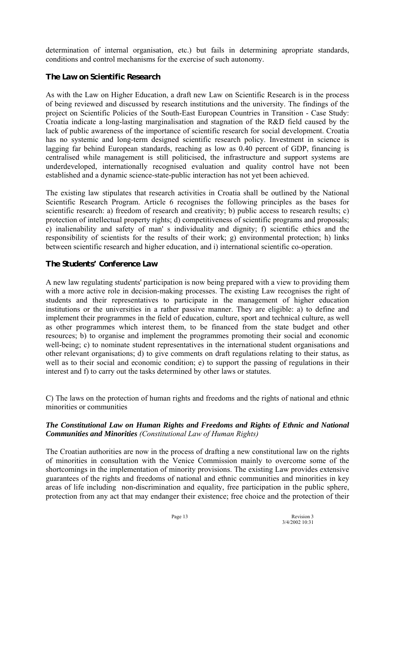determination of internal organisation, etc.) but fails in determining apropriate standards, conditions and control mechanisms for the exercise of such autonomy.

### *The Law on Scientific Research*

As with the Law on Higher Education, a draft new Law on Scientific Research is in the process of being reviewed and discussed by research institutions and the university. The findings of the project on Scientific Policies of the South-East European Countries in Transition - Case Study: Croatia indicate a long-lasting marginalisation and stagnation of the R&D field caused by the lack of public awareness of the importance of scientific research for social development. Croatia has no systemic and long-term designed scientific research policy. Investment in science is lagging far behind European standards, reaching as low as 0.40 percent of GDP, financing is centralised while management is still politicised, the infrastructure and support systems are underdeveloped, internationally recognised evaluation and quality control have not been established and a dynamic science-state-public interaction has not yet been achieved.

The existing law stipulates that research activities in Croatia shall be outlined by the National Scientific Research Program. Article 6 recognises the following principles as the bases for scientific research: a) freedom of research and creativity; b) public access to research results; c) protection of intellectual property rights; d) competitiveness of scientific programs and proposals; e) inalienability and safety of man' s individuality and dignity; f) scientific ethics and the responsibility of scientists for the results of their work; g) environmental protection; h) links between scientific research and higher education, and i) international scientific co-operation.

### *The Students' Conference Law*

A new law regulating students' participation is now being prepared with a view to providing them with a more active role in decision-making processes. The existing Law recognises the right of students and their representatives to participate in the management of higher education institutions or the universities in a rather passive manner. They are eligible: a) to define and implement their programmes in the field of education, culture, sport and technical culture, as well as other programmes which interest them, to be financed from the state budget and other resources; b) to organise and implement the programmes promoting their social and economic well-being; c) to nominate student representatives in the international student organisations and other relevant organisations; d) to give comments on draft regulations relating to their status, as well as to their social and economic condition; e) to support the passing of regulations in their interest and f) to carry out the tasks determined by other laws or statutes.

C) The laws on the protection of human rights and freedoms and the rights of national and ethnic minorities or communities

### *The Constitutional Law on Human Rights and Freedoms and Rights of Ethnic and National Communities and Minorities (Constitutional Law of Human Rights)*

The Croatian authorities are now in the process of drafting a new constitutional law on the rights of minorities in consultation with the Venice Commission mainly to overcome some of the shortcomings in the implementation of minority provisions. The existing Law provides extensive guarantees of the rights and freedoms of national and ethnic communities and minorities in key areas of life including non-discrimination and equality, free participation in the public sphere, protection from any act that may endanger their existence; free choice and the protection of their

Page 13 Revision 3<br>3/4/2002 10:31 3/4/2002 10:31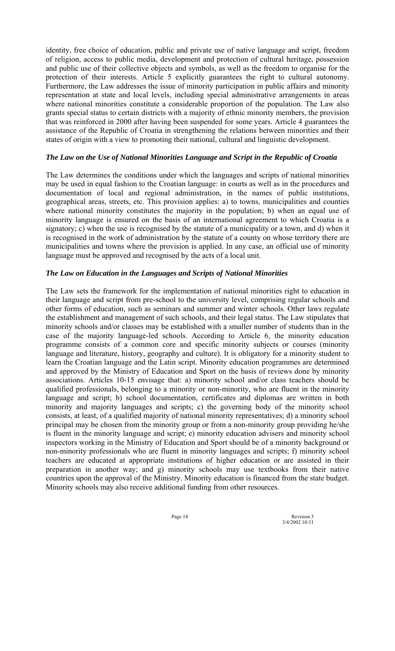identity, free choice of education, public and private use of native language and script, freedom of religion, access to public media, development and protection of cultural heritage, possession and public use of their collective objects and symbols, as well as the freedom to organise for the protection of their interests. Article 5 explicitly guarantees the right to cultural autonomy. Furthermore, the Law addresses the issue of minority participation in public affairs and minority representation at state and local levels, including special administrative arrangements in areas where national minorities constitute a considerable proportion of the population. The Law also grants special status to certain districts with a majority of ethnic minority members, the provision that was reinforced in 2000 after having been suspended for some years. Article 4 guarantees the assistance of the Republic of Croatia in strengthening the relations between minorities and their states of origin with a view to promoting their national, cultural and linguistic development.

### *The Law on the Use of National Minorities Language and Script in the Republic of Croatia*

The Law determines the conditions under which the languages and scripts of national minorities may be used in equal fashion to the Croatian language: in courts as well as in the procedures and documentation of local and regional administration, in the names of public institutions, geographical areas, streets, etc. This provision applies: a) to towns, municipalities and counties where national minority constitutes the majority in the population; b) when an equal use of minority language is ensured on the basis of an international agreement to which Croatia is a signatory; c) when the use is recognised by the statute of a municipality or a town, and d) when it is recognised in the work of administration by the statute of a county on whose territory there are municipalities and towns where the provision is applied. In any case, an official use of minority language must be approved and recognised by the acts of a local unit.

### *The Law on Education in the Languages and Scripts of National Minorities*

The Law sets the framework for the implementation of national minorities right to education in their language and script from pre-school to the university level, comprising regular schools and other forms of education, such as seminars and summer and winter schools. Other laws regulate the establishment and management of such schools, and their legal status. The Law stipulates that minority schools and/or classes may be established with a smaller number of students than in the case of the majority language-led schools. According to Article 6, the minority education programme consists of a common core and specific minority subjects or courses (minority language and literature, history, geography and culture). It is obligatory for a minority student to learn the Croatian language and the Latin script. Minority education programmes are determined and approved by the Ministry of Education and Sport on the basis of reviews done by minority associations. Articles 10-15 envisage that: a) minority school and/or class teachers should be qualified professionals, belonging to a minority or non-minority, who are fluent in the minority language and script; b) school documentation, certificates and diplomas are written in both minority and majority languages and scripts; c) the governing body of the minority school consists, at least, of a qualified majority of national minority representatives; d) a minority school principal may be chosen from the minority group or from a non-minority group providing he/she is fluent in the minority language and script; e) minority education advisers and minority school inspectors working in the Ministry of Education and Sport should be of a minority background or non-minority professionals who are fluent in minority languages and scripts; f) minority school teachers are educated at appropriate institutions of higher education or are assisted in their preparation in another way; and g) minority schools may use textbooks from their native countries upon the approval of the Ministry. Minority education is financed from the state budget. Minority schools may also receive additional funding from other resources.

Page 14 Revision 3<br>3/4/2002 10:31 3/4/2002 10:31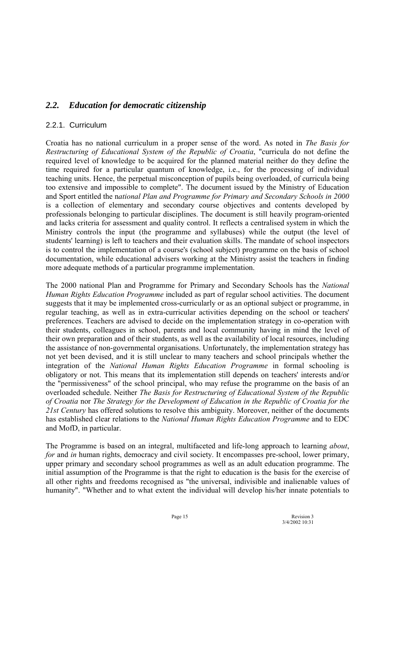# *2.2. Education for democratic citizenship*

### 2.2.1. Curriculum

Croatia has no national curriculum in a proper sense of the word. As noted in *The Basis for Restructuring of Educational System of the Republic of Croatia*, "curricula do not define the required level of knowledge to be acquired for the planned material neither do they define the time required for a particular quantum of knowledge, i.e., for the processing of individual teaching units. Hence, the perpetual misconception of pupils being overloaded, of curricula being too extensive and impossible to complete". The document issued by the Ministry of Education and Sport entitled the n*ational Plan and Programme for Primary and Secondary Schools in 2000*  is a collection of elementary and secondary course objectives and contents developed by professionals belonging to particular disciplines. The document is still heavily program-oriented and lacks criteria for assessment and quality control. It reflects a centralised system in which the Ministry controls the input (the programme and syllabuses) while the output (the level of students' learning) is left to teachers and their evaluation skills. The mandate of school inspectors is to control the implementation of a course's (school subject) programme on the basis of school documentation, while educational advisers working at the Ministry assist the teachers in finding more adequate methods of a particular programme implementation.

The 2000 national Plan and Programme for Primary and Secondary Schools has the *National Human Rights Education Programme* included as part of regular school activities. The document suggests that it may be implemented cross-curricularly or as an optional subject or programme, in regular teaching, as well as in extra-curricular activities depending on the school or teachers' preferences. Teachers are advised to decide on the implementation strategy in co-operation with their students, colleagues in school, parents and local community having in mind the level of their own preparation and of their students, as well as the availability of local resources, including the assistance of non-governmental organisations. Unfortunately, the implementation strategy has not yet been devised, and it is still unclear to many teachers and school principals whether the integration of the *National Human Rights Education Programme* in formal schooling is obligatory or not. This means that its implementation still depends on teachers' interests and/or the "permissiveness" of the school principal, who may refuse the programme on the basis of an overloaded schedule. Neither *The Basis for Restructuring of Educational System of the Republic of Croatia* nor *The Strategy for the Development of Education in the Republic of Croatia for the 21st Century* has offered solutions to resolve this ambiguity. Moreover, neither of the documents has established clear relations to the *National Human Rights Education Programme* and to EDC and MofD, in particular.

The Programme is based on an integral, multifaceted and life-long approach to learning *about*, *for* and *in* human rights, democracy and civil society. It encompasses pre-school, lower primary, upper primary and secondary school programmes as well as an adult education programme. The initial assumption of the Programme is that the right to education is the basis for the exercise of all other rights and freedoms recognised as "the universal, indivisible and inalienable values of humanity". "Whether and to what extent the individual will develop his/her innate potentials to

Page 15 Revision 3<br>3/4/2002 10:31 3/4/2002 10:31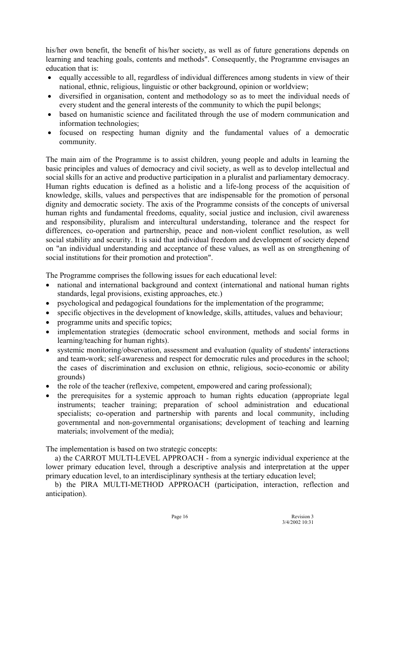his/her own benefit, the benefit of his/her society, as well as of future generations depends on learning and teaching goals, contents and methods". Consequently, the Programme envisages an education that is:

- equally accessible to all, regardless of individual differences among students in view of their national, ethnic, religious, linguistic or other background, opinion or worldview;
- diversified in organisation, content and methodology so as to meet the individual needs of every student and the general interests of the community to which the pupil belongs;
- based on humanistic science and facilitated through the use of modern communication and information technologies;
- focused on respecting human dignity and the fundamental values of a democratic community.

The main aim of the Programme is to assist children, young people and adults in learning the basic principles and values of democracy and civil society, as well as to develop intellectual and social skills for an active and productive participation in a pluralist and parliamentary democracy. Human rights education is defined as a holistic and a life-long process of the acquisition of knowledge, skills, values and perspectives that are indispensable for the promotion of personal dignity and democratic society. The axis of the Programme consists of the concepts of universal human rights and fundamental freedoms, equality, social justice and inclusion, civil awareness and responsibility, pluralism and intercultural understanding, tolerance and the respect for differences, co-operation and partnership, peace and non-violent conflict resolution, as well social stability and security. It is said that individual freedom and development of society depend on "an individual understanding and acceptance of these values, as well as on strengthening of social institutions for their promotion and protection".

The Programme comprises the following issues for each educational level:

- national and international background and context (international and national human rights standards, legal provisions, existing approaches, etc.)
- psychological and pedagogical foundations for the implementation of the programme;
- specific objectives in the development of knowledge, skills, attitudes, values and behaviour;
- programme units and specific topics;
- implementation strategies (democratic school environment, methods and social forms in learning/teaching for human rights).
- systemic monitoring/observation, assessment and evaluation (quality of students' interactions and team-work; self-awareness and respect for democratic rules and procedures in the school; the cases of discrimination and exclusion on ethnic, religious, socio-economic or ability grounds)
- the role of the teacher (reflexive, competent, empowered and caring professional);
- the prerequisites for a systemic approach to human rights education (appropriate legal instruments; teacher training; preparation of school administration and educational specialists; co-operation and partnership with parents and local community, including governmental and non-governmental organisations; development of teaching and learning materials; involvement of the media);

The implementation is based on two strategic concepts:

a) the CARROT MULTI-LEVEL APPROACH - from a synergic individual experience at the lower primary education level, through a descriptive analysis and interpretation at the upper primary education level, to an interdisciplinary synthesis at the tertiary education level;

b) the PIRA MULTI-METHOD APPROACH (participation, interaction, reflection and anticipation).

Page 16 Revision 3 3/4/2002 10:31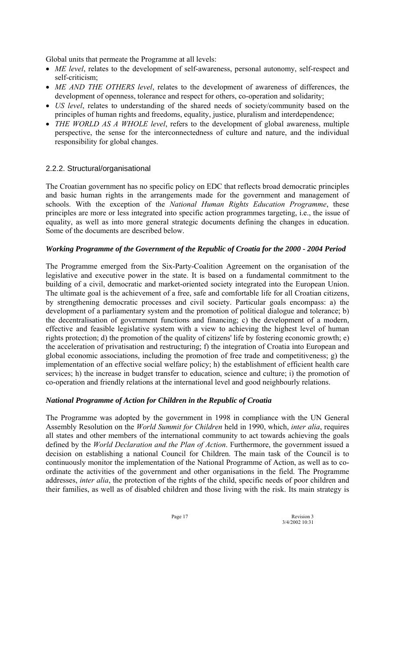Global units that permeate the Programme at all levels:

- *ME level*, relates to the development of self-awareness, personal autonomy, self-respect and self-criticism;
- *ME AND THE OTHERS level*, relates to the development of awareness of differences, the development of openness, tolerance and respect for others, co-operation and solidarity;
- *US level*, relates to understanding of the shared needs of society/community based on the principles of human rights and freedoms, equality, justice, pluralism and interdependence;
- *THE WORLD AS A WHOLE level*, refers to the development of global awareness, multiple perspective, the sense for the interconnectedness of culture and nature, and the individual responsibility for global changes.

### 2.2.2. Structural/organisational

The Croatian government has no specific policy on EDC that reflects broad democratic principles and basic human rights in the arrangements made for the government and management of schools. With the exception of the *National Human Rights Education Programme*, these principles are more or less integrated into specific action programmes targeting, i.e., the issue of equality, as well as into more general strategic documents defining the changes in education. Some of the documents are described below.

### *Working Programme of the Government of the Republic of Croatia for the 2000 - 2004 Period*

The Programme emerged from the Six-Party-Coalition Agreement on the organisation of the legislative and executive power in the state. It is based on a fundamental commitment to the building of a civil, democratic and market-oriented society integrated into the European Union. The ultimate goal is the achievement of a free, safe and comfortable life for all Croatian citizens, by strengthening democratic processes and civil society. Particular goals encompass: a) the development of a parliamentary system and the promotion of political dialogue and tolerance; b) the decentralisation of government functions and financing; c) the development of a modern, effective and feasible legislative system with a view to achieving the highest level of human rights protection; d) the promotion of the quality of citizens' life by fostering economic growth; e) the acceleration of privatisation and restructuring; f) the integration of Croatia into European and global economic associations, including the promotion of free trade and competitiveness; g) the implementation of an effective social welfare policy; h) the establishment of efficient health care services; h) the increase in budget transfer to education, science and culture; i) the promotion of co-operation and friendly relations at the international level and good neighbourly relations.

### *National Programme of Action for Children in the Republic of Croatia*

The Programme was adopted by the government in 1998 in compliance with the UN General Assembly Resolution on the *World Summit for Children* held in 1990, which, *inter alia*, requires all states and other members of the international community to act towards achieving the goals defined by the *World Declaration and the Plan of Action*. Furthermore, the government issued a decision on establishing a national Council for Children. The main task of the Council is to continuously monitor the implementation of the National Programme of Action, as well as to coordinate the activities of the government and other organisations in the field. The Programme addresses, *inter alia*, the protection of the rights of the child, specific needs of poor children and their families, as well as of disabled children and those living with the risk. Its main strategy is

Page 17 Revision 3 3/4/2002 10:31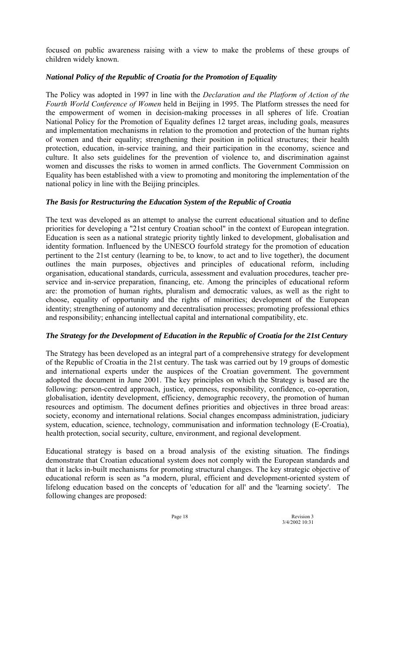focused on public awareness raising with a view to make the problems of these groups of children widely known.

### *National Policy of the Republic of Croatia for the Promotion of Equality*

The Policy was adopted in 1997 in line with the *Declaration and the Platform of Action of the Fourth World Conference of Women* held in Beijing in 1995. The Platform stresses the need for the empowerment of women in decision-making processes in all spheres of life. Croatian National Policy for the Promotion of Equality defines 12 target areas, including goals, measures and implementation mechanisms in relation to the promotion and protection of the human rights of women and their equality; strengthening their position in political structures; their health protection, education, in-service training, and their participation in the economy, science and culture. It also sets guidelines for the prevention of violence to, and discrimination against women and discusses the risks to women in armed conflicts. The Government Commission on Equality has been established with a view to promoting and monitoring the implementation of the national policy in line with the Beijing principles.

### *The Basis for Restructuring the Education System of the Republic of Croatia*

The text was developed as an attempt to analyse the current educational situation and to define priorities for developing a "21st century Croatian school" in the context of European integration. Education is seen as a national strategic priority tightly linked to development, globalisation and identity formation. Influenced by the UNESCO fourfold strategy for the promotion of education pertinent to the 21st century (learning to be, to know, to act and to live together), the document outlines the main purposes, objectives and principles of educational reform, including organisation, educational standards, curricula, assessment and evaluation procedures, teacher preservice and in-service preparation, financing, etc. Among the principles of educational reform are: the promotion of human rights, pluralism and democratic values, as well as the right to choose, equality of opportunity and the rights of minorities; development of the European identity; strengthening of autonomy and decentralisation processes; promoting professional ethics and responsibility; enhancing intellectual capital and international compatibility, etc.

### *The Strategy for the Development of Education in the Republic of Croatia for the 21st Century*

The Strategy has been developed as an integral part of a comprehensive strategy for development of the Republic of Croatia in the 21st century. The task was carried out by 19 groups of domestic and international experts under the auspices of the Croatian government. The government adopted the document in June 2001. The key principles on which the Strategy is based are the following: person-centred approach, justice, openness, responsibility, confidence, co-operation, globalisation, identity development, efficiency, demographic recovery, the promotion of human resources and optimism. The document defines priorities and objectives in three broad areas: society, economy and international relations. Social changes encompass administration, judiciary system, education, science, technology, communisation and information technology (E-Croatia), health protection, social security, culture, environment, and regional development.

Educational strategy is based on a broad analysis of the existing situation. The findings demonstrate that Croatian educational system does not comply with the European standards and that it lacks in-built mechanisms for promoting structural changes. The key strategic objective of educational reform is seen as "a modern, plural, efficient and development-oriented system of lifelong education based on the concepts of 'education for all' and the 'learning society'. The following changes are proposed:

Page 18 Revision 3<br>3/4/2002 10:31 3/4/2002 10:31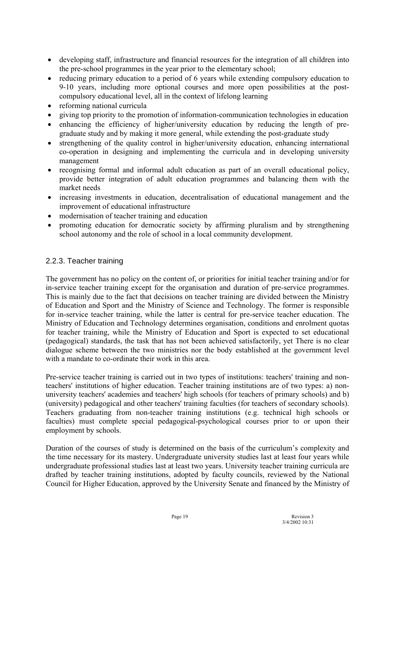- developing staff, infrastructure and financial resources for the integration of all children into the pre-school programmes in the year prior to the elementary school;
- reducing primary education to a period of 6 years while extending compulsory education to 9-10 years, including more optional courses and more open possibilities at the postcompulsory educational level, all in the context of lifelong learning
- reforming national curricula
- giving top priority to the promotion of information-communication technologies in education
- enhancing the efficiency of higher/university education by reducing the length of pregraduate study and by making it more general, while extending the post-graduate study
- strengthening of the quality control in higher/university education, enhancing international co-operation in designing and implementing the curricula and in developing university management
- recognising formal and informal adult education as part of an overall educational policy, provide better integration of adult education programmes and balancing them with the market needs
- increasing investments in education, decentralisation of educational management and the improvement of educational infrastructure
- modernisation of teacher training and education
- promoting education for democratic society by affirming pluralism and by strengthening school autonomy and the role of school in a local community development.

### 2.2.3. Teacher training

The government has no policy on the content of, or priorities for initial teacher training and/or for in-service teacher training except for the organisation and duration of pre-service programmes. This is mainly due to the fact that decisions on teacher training are divided between the Ministry of Education and Sport and the Ministry of Science and Technology. The former is responsible for in-service teacher training, while the latter is central for pre-service teacher education. The Ministry of Education and Technology determines organisation, conditions and enrolment quotas for teacher training, while the Ministry of Education and Sport is expected to set educational (pedagogical) standards, the task that has not been achieved satisfactorily, yet There is no clear dialogue scheme between the two ministries nor the body established at the government level with a mandate to co-ordinate their work in this area.

Pre-service teacher training is carried out in two types of institutions: teachers' training and nonteachers' institutions of higher education. Teacher training institutions are of two types: a) nonuniversity teachers' academies and teachers' high schools (for teachers of primary schools) and b) (university) pedagogical and other teachers' training faculties (for teachers of secondary schools). Teachers graduating from non-teacher training institutions (e.g. technical high schools or faculties) must complete special pedagogical-psychological courses prior to or upon their employment by schools.

Duration of the courses of study is determined on the basis of the curriculum's complexity and the time necessary for its mastery. Undergraduate university studies last at least four years while undergraduate professional studies last at least two years. University teacher training curricula are drafted by teacher training institutions, adopted by faculty councils, reviewed by the National Council for Higher Education, approved by the University Senate and financed by the Ministry of

Page 19 Revision 3 3/4/2002 10:31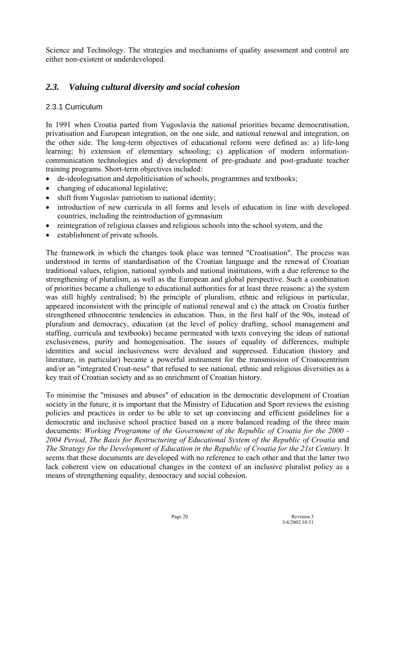Science and Technology. The strategies and mechanisms of quality assessment and control are either non-existent or underdeveloped.

# *2.3. Valuing cultural diversity and social cohesion*

### 2.3.1 Curriculum

In 1991 when Croatia parted from Yugoslavia the national priorities became democratisation, privatisation and European integration, on the one side, and national renewal and integration, on the other side. The long-term objectives of educational reform were defined as: a) life-long learning; b) extension of elementary schooling; c) application of modern informationcommunication technologies and d) development of pre-graduate and post-graduate teacher training programs. Short-term objectives included:

- de-ideologisation and depoliticisation of schools, programmes and textbooks;
- changing of educational legislative;
- shift from Yugoslav patriotism to national identity;
- introduction of new curricula in all forms and levels of education in line with developed countries, including the reintroduction of gymnasium
- reintegration of religious classes and religious schools into the school system, and the
- establishment of private schools.

The framework in which the changes took place was termed "Croatisation". The process was understood in terms of standardisation of the Croatian language and the renewal of Croatian traditional values, religion, national symbols and national institutions, with a due reference to the strengthening of pluralism, as well as the European and global perspective. Such a combination of priorities became a challenge to educational authorities for at least three reasons: a) the system was still highly centralised; b) the principle of pluralism, ethnic and religious in particular, appeared inconsistent with the principle of national renewal and c) the attack on Croatia further strengthened ethnocentric tendencies in education. Thus, in the first half of the 90s, instead of pluralism and democracy, education (at the level of policy drafting, school management and staffing, curricula and textbooks) became permeated with texts conveying the ideas of national exclusiveness, purity and homogenisation. The issues of equality of differences, multiple identities and social inclusiveness were devalued and suppressed. Education (history and literature, in particular) became a powerful instrument for the transmission of Croatocentrism and/or an "integrated Croat-ness" that refused to see national, ethnic and religious diversities as a key trait of Croatian society and as an enrichment of Croatian history.

To minimise the "misuses and abuses" of education in the democratic development of Croatian society in the future, it is important that the Ministry of Education and Sport reviews the existing policies and practices in order to be able to set up convincing and efficient guidelines for a democratic and inclusive school practice based on a more balanced reading of the three main documents: *Working Programme of the Government of the Republic of Croatia for the 2000 - 2004 Period*, *The Basis for Restructuring of Educational System of the Republic of Croatia* and *The Strategy for the Development of Education in the Republic of Croatia for the 21st Century*. It seems that these documents are developed with no reference to each other and that the latter two lack coherent view on educational changes in the context of an inclusive pluralist policy as a means of strengthening equality, democracy and social cohesion.

Page 20 Revision 3 3/4/2002 10:31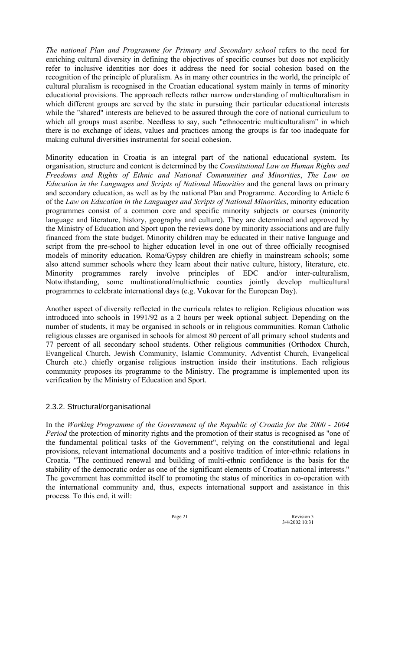*The national Plan and Programme for Primary and Secondary school* refers to the need for enriching cultural diversity in defining the objectives of specific courses but does not explicitly refer to inclusive identities nor does it address the need for social cohesion based on the recognition of the principle of pluralism. As in many other countries in the world, the principle of cultural pluralism is recognised in the Croatian educational system mainly in terms of minority educational provisions. The approach reflects rather narrow understanding of multiculturalism in which different groups are served by the state in pursuing their particular educational interests while the "shared" interests are believed to be assured through the core of national curriculum to which all groups must ascribe. Needless to say, such "ethnocentric multiculturalism" in which there is no exchange of ideas, values and practices among the groups is far too inadequate for making cultural diversities instrumental for social cohesion.

Minority education in Croatia is an integral part of the national educational system. Its organisation, structure and content is determined by the *Constitutional Law on Human Rights and Freedoms and Rights of Ethnic and National Communities and Minorities*, *The Law on Education in the Languages and Scripts of National Minorities* and the general laws on primary and secondary education, as well as by the national Plan and Programme. According to Article 6 of the *Law on Education in the Languages and Scripts of National Minorities*, minority education programmes consist of a common core and specific minority subjects or courses (minority language and literature, history, geography and culture). They are determined and approved by the Ministry of Education and Sport upon the reviews done by minority associations and are fully financed from the state budget. Minority children may be educated in their native language and script from the pre-school to higher education level in one out of three officially recognised models of minority education. Roma/Gypsy children are chiefly in mainstream schools; some also attend summer schools where they learn about their native culture, history, literature, etc. Minority programmes rarely involve principles of EDC and/or inter-culturalism, Notwithstanding, some multinational/multiethnic counties jointly develop multicultural programmes to celebrate international days (e.g. Vukovar for the European Day).

Another aspect of diversity reflected in the curricula relates to religion. Religious education was introduced into schools in 1991/92 as a 2 hours per week optional subject. Depending on the number of students, it may be organised in schools or in religious communities. Roman Catholic religious classes are organised in schools for almost 80 percent of all primary school students and 77 percent of all secondary school students. Other religious communities (Orthodox Church, Evangelical Church, Jewish Community, Islamic Community, Adventist Church, Evangelical Church etc.) chiefly organise religious instruction inside their institutions. Each religious community proposes its programme to the Ministry. The programme is implemented upon its verification by the Ministry of Education and Sport.

### 2.3.2. Structural/organisational

In the *Working Programme of the Government of the Republic of Croatia for the 2000 - 2004 Period* the protection of minority rights and the promotion of their status is recognised as "one of the fundamental political tasks of the Government", relying on the constitutional and legal provisions, relevant international documents and a positive tradition of inter-ethnic relations in Croatia. "The continued renewal and building of multi-ethnic confidence is the basis for the stability of the democratic order as one of the significant elements of Croatian national interests." The government has committed itself to promoting the status of minorities in co-operation with the international community and, thus, expects international support and assistance in this process. To this end, it will:

Page 21 Revision 3<br>  $3/4/20021031$ 3/4/2002 10:31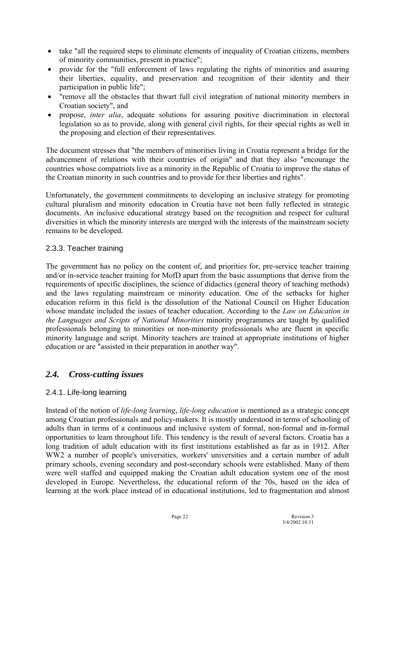- take "all the required steps to eliminate elements of inequality of Croatian citizens, members of minority communities, present in practice";
- provide for the "full enforcement of laws regulating the rights of minorities and assuring their liberties, equality, and preservation and recognition of their identity and their participation in public life";
- "remove all the obstacles that thwart full civil integration of national minority members in Croatian society", and
- propose, *inter alia*, adequate solutions for assuring positive discrimination in electoral legislation so as to provide, along with general civil rights, for their special rights as well in the proposing and election of their representatives.

The document stresses that "the members of minorities living in Croatia represent a bridge for the advancement of relations with their countries of origin" and that they also "encourage the countries whose compatriots live as a minority in the Republic of Croatia to improve the status of the Croatian minority in such countries and to provide for their liberties and rights".

Unfortunately, the government commitments to developing an inclusive strategy for promoting cultural pluralism and minority education in Croatia have not been fully reflected in strategic documents. An inclusive educational strategy based on the recognition and respect for cultural diversities in which the minority interests are merged with the interests of the mainstream society remains to be developed.

### 2.3.3. Teacher training

The government has no policy on the content of, and priorities for, pre-service teacher training and/or in-service teacher training for MofD apart from the basic assumptions that derive from the requirements of specific disciplines, the science of didactics (general theory of teaching methods) and the laws regulating mainstream or minority education. One of the setbacks for higher education reform in this field is the dissolution of the National Council on Higher Education whose mandate included the issues of teacher education. According to the *Law on Education in the Languages and Scripts of National Minorities* minority programmes are taught by qualified professionals belonging to minorities or non-minority professionals who are fluent in specific minority language and script. Minority teachers are trained at appropriate institutions of higher education or are "assisted in their preparation in another way".

# *2.4. Cross-cutting issues*

### 2.4.1. Life-long learning

Instead of the notion of *life-long learning*, *life-long education* is mentioned as a strategic concept among Croatian professionals and policy-makers. It is mostly understood in terms of schooling of adults than in terms of a continuous and inclusive system of formal, non-formal and in-formal opportunities to learn throughout life. This tendency is the result of several factors. Croatia has a long tradition of adult education with its first institutions established as far as in 1912. After WW2 a number of people's universities, workers' universities and a certain number of adult primary schools, evening secondary and post-secondary schools were established. Many of them were well staffed and equipped making the Croatian adult education system one of the most developed in Europe. Nevertheless, the educational reform of the 70s, based on the idea of learning at the work place instead of in educational institutions, led to fragmentation and almost

Page 22 Revision 3 3/4/2002 10:31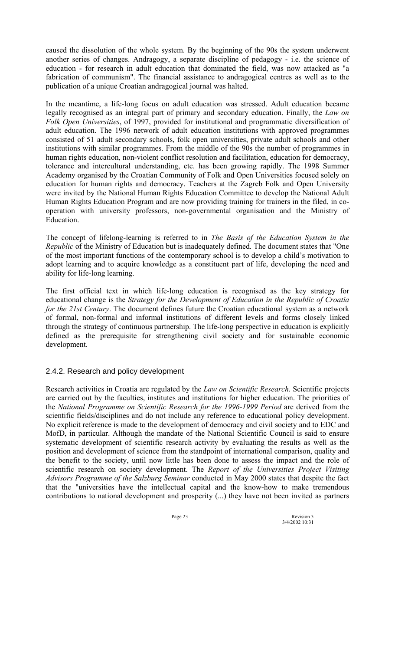caused the dissolution of the whole system. By the beginning of the 90s the system underwent another series of changes. Andragogy, a separate discipline of pedagogy - i.e. the science of education - for research in adult education that dominated the field, was now attacked as "a fabrication of communism". The financial assistance to andragogical centres as well as to the publication of a unique Croatian andragogical journal was halted.

In the meantime, a life-long focus on adult education was stressed. Adult education became legally recognised as an integral part of primary and secondary education. Finally, the *Law on Folk Open Universities*, of 1997, provided for institutional and programmatic diversification of adult education. The 1996 network of adult education institutions with approved programmes consisted of 51 adult secondary schools, folk open universities, private adult schools and other institutions with similar programmes. From the middle of the 90s the number of programmes in human rights education, non-violent conflict resolution and facilitation, education for democracy, tolerance and intercultural understanding, etc. has been growing rapidly. The 1998 Summer Academy organised by the Croatian Community of Folk and Open Universities focused solely on education for human rights and democracy. Teachers at the Zagreb Folk and Open University were invited by the National Human Rights Education Committee to develop the National Adult Human Rights Education Program and are now providing training for trainers in the filed, in cooperation with university professors, non-governmental organisation and the Ministry of Education.

The concept of lifelong-learning is referred to in *The Basis of the Education System in the Republic* of the Ministry of Education but is inadequately defined. The document states that "One of the most important functions of the contemporary school is to develop a child's motivation to adopt learning and to acquire knowledge as a constituent part of life, developing the need and ability for life-long learning.

The first official text in which life-long education is recognised as the key strategy for educational change is the *Strategy for the Development of Education in the Republic of Croatia for the 21st Century*. The document defines future the Croatian educational system as a network of formal, non-formal and informal institutions of different levels and forms closely linked through the strategy of continuous partnership. The life-long perspective in education is explicitly defined as the prerequisite for strengthening civil society and for sustainable economic development.

### 2.4.2. Research and policy development

Research activities in Croatia are regulated by the *Law on Scientific Research*. Scientific projects are carried out by the faculties, institutes and institutions for higher education. The priorities of the *National Programme on Scientific Research for the 1996-1999 Period* are derived from the scientific fields/disciplines and do not include any reference to educational policy development. No explicit reference is made to the development of democracy and civil society and to EDC and MofD, in particular. Although the mandate of the National Scientific Council is said to ensure systematic development of scientific research activity by evaluating the results as well as the position and development of science from the standpoint of international comparison, quality and the benefit to the society, until now little has been done to assess the impact and the role of scientific research on society development. The *Report of the Universities Project Visiting Advisors Programme of the Salzburg Seminar* conducted in May 2000 states that despite the fact that the "universities have the intellectual capital and the know-how to make tremendous contributions to national development and prosperity (...) they have not been invited as partners

Page 23 Revision 3 3/4/2002 10:31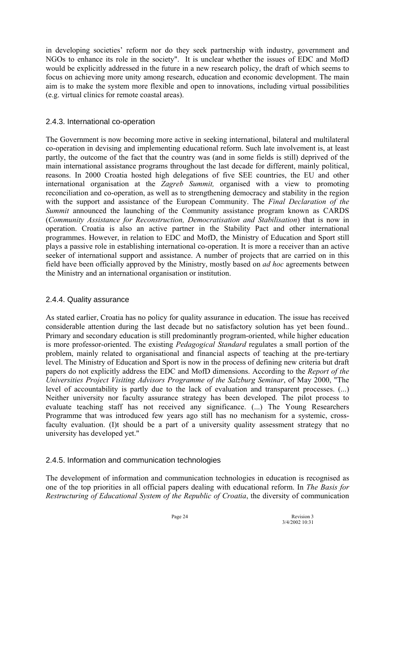in developing societies' reform nor do they seek partnership with industry, government and NGOs to enhance its role in the society". It is unclear whether the issues of EDC and MofD would be explicitly addressed in the future in a new research policy, the draft of which seems to focus on achieving more unity among research, education and economic development. The main aim is to make the system more flexible and open to innovations, including virtual possibilities (e.g. virtual clinics for remote coastal areas).

### 2.4.3. International co-operation

The Government is now becoming more active in seeking international, bilateral and multilateral co-operation in devising and implementing educational reform. Such late involvement is, at least partly, the outcome of the fact that the country was (and in some fields is still) deprived of the main international assistance programs throughout the last decade for different, mainly political, reasons. In 2000 Croatia hosted high delegations of five SEE countries, the EU and other international organisation at the *Zagreb Summit,* organised with a view to promoting reconciliation and co-operation, as well as to strengthening democracy and stability in the region with the support and assistance of the European Community. The *Final Declaration of the Summit* announced the launching of the Community assistance program known as CARDS (*Community Assistance for Reconstruction, Democratisation and Stabilisation*) that is now in operation. Croatia is also an active partner in the Stability Pact and other international programmes. However, in relation to EDC and MofD, the Ministry of Education and Sport still plays a passive role in establishing international co-operation. It is more a receiver than an active seeker of international support and assistance. A number of projects that are carried on in this field have been officially approved by the Ministry, mostly based on *ad hoc* agreements between the Ministry and an international organisation or institution.

### 2.4.4. Quality assurance

As stated earlier, Croatia has no policy for quality assurance in education. The issue has received considerable attention during the last decade but no satisfactory solution has yet been found.. Primary and secondary education is still predominantly program-oriented, while higher education is more professor-oriented. The existing *Pedagogical Standard* regulates a small portion of the problem, mainly related to organisational and financial aspects of teaching at the pre-tertiary level. The Ministry of Education and Sport is now in the process of defining new criteria but draft papers do not explicitly address the EDC and MofD dimensions. According to the *Report of the Universities Project Visiting Advisors Programme of the Salzburg Seminar*, of May 2000, "The level of accountability is partly due to the lack of evaluation and transparent processes. (...) Neither university nor faculty assurance strategy has been developed. The pilot process to evaluate teaching staff has not received any significance. (...) The Young Researchers Programme that was introduced few years ago still has no mechanism for a systemic, crossfaculty evaluation. (I)t should be a part of a university quality assessment strategy that no university has developed yet."

### 2.4.5. Information and communication technologies

The development of information and communication technologies in education is recognised as one of the top priorities in all official papers dealing with educational reform. In *The Basis for Restructuring of Educational System of the Republic of Croatia*, the diversity of communication

Page 24 Revision 3 3/4/2002 10:31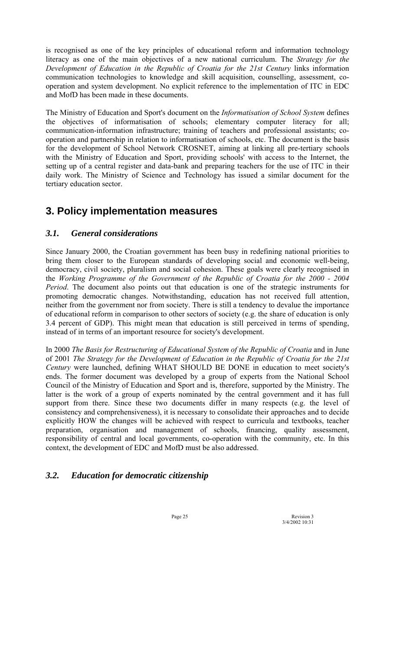is recognised as one of the key principles of educational reform and information technology literacy as one of the main objectives of a new national curriculum. The *Strategy for the Development of Education in the Republic of Croatia for the 21st Century* links information communication technologies to knowledge and skill acquisition, counselling, assessment, cooperation and system development. No explicit reference to the implementation of ITC in EDC and MofD has been made in these documents.

The Ministry of Education and Sport's document on the *Informatisation of School System* defines the objectives of informatisation of schools; elementary computer literacy for all; communication-information infrastructure; training of teachers and professional assistants; cooperation and partnership in relation to informatisation of schools, etc. The document is the basis for the development of School Network CROSNET, aiming at linking all pre-tertiary schools with the Ministry of Education and Sport, providing schools' with access to the Internet, the setting up of a central register and data-bank and preparing teachers for the use of ITC in their daily work. The Ministry of Science and Technology has issued a similar document for the tertiary education sector.

# **3. Policy implementation measures**

# *3.1. General considerations*

Since January 2000, the Croatian government has been busy in redefining national priorities to bring them closer to the European standards of developing social and economic well-being, democracy, civil society, pluralism and social cohesion. These goals were clearly recognised in the *Working Programme of the Government of the Republic of Croatia for the 2000 - 2004 Period*. The document also points out that education is one of the strategic instruments for promoting democratic changes. Notwithstanding, education has not received full attention, neither from the government nor from society. There is still a tendency to devalue the importance of educational reform in comparison to other sectors of society (e.g. the share of education is only 3.4 percent of GDP). This might mean that education is still perceived in terms of spending, instead of in terms of an important resource for society's development.

In 2000 *The Basis for Restructuring of Educational System of the Republic of Croatia* and in June of 2001 *The Strategy for the Development of Education in the Republic of Croatia for the 21st Century* were launched, defining WHAT SHOULD BE DONE in education to meet society's ends. The former document was developed by a group of experts from the National School Council of the Ministry of Education and Sport and is, therefore, supported by the Ministry. The latter is the work of a group of experts nominated by the central government and it has full support from there. Since these two documents differ in many respects (e.g. the level of consistency and comprehensiveness), it is necessary to consolidate their approaches and to decide explicitly HOW the changes will be achieved with respect to curricula and textbooks, teacher preparation, organisation and management of schools, financing, quality assessment, responsibility of central and local governments, co-operation with the community, etc. In this context, the development of EDC and MofD must be also addressed.

# *3.2. Education for democratic citizenship*

Page 25 Revision 3 3/4/2002 10:31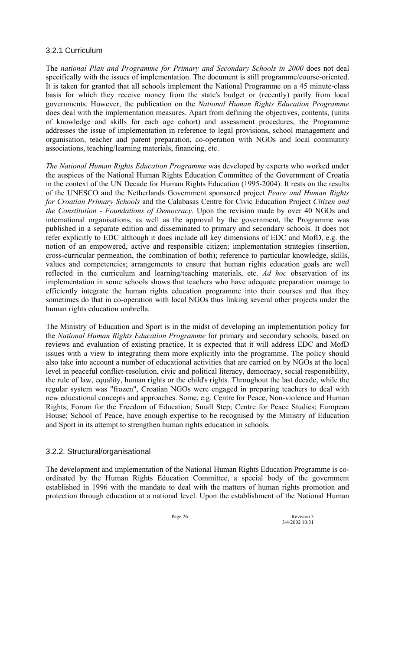### 3.2.1 Curriculum

The *national Plan and Programme for Primary and Secondary Schools in 2000* does not deal specifically with the issues of implementation. The document is still programme/course-oriented. It is taken for granted that all schools implement the National Programme on a 45 minute-class basis for which they receive money from the state's budget or (recently) partly from local governments. However, the publication on the *National Human Rights Education Programme* does deal with the implementation measures. Apart from defining the objectives, contents, (units of knowledge and skills for each age cohort) and assessment procedures, the Programme addresses the issue of implementation in reference to legal provisions, school management and organisation, teacher and parent preparation, co-operation with NGOs and local community associations, teaching/learning materials, financing, etc.

*The National Human Rights Education Programme* was developed by experts who worked under the auspices of the National Human Rights Education Committee of the Government of Croatia in the context of the UN Decade for Human Rights Education (1995-2004). It rests on the results of the UNESCO and the Netherlands Government sponsored project *Peace and Human Rights for Croatian Primary Schools* and the Calabasas Centre for Civic Education Project *Citizen and the Constitution - Foundations of Democracy*. Upon the revision made by over 40 NGOs and international organisations, as well as the approval by the government, the Programme was published in a separate edition and disseminated to primary and secondary schools. It does not refer explicitly to EDC although it does include all key dimensions of EDC and MofD, e.g. the notion of an empowered, active and responsible citizen; implementation strategies (insertion, cross-curricular permeation, the combination of both); reference to particular knowledge, skills, values and competencies; arrangements to ensure that human rights education goals are well reflected in the curriculum and learning/teaching materials, etc. *Ad hoc* observation of its implementation in some schools shows that teachers who have adequate preparation manage to efficiently integrate the human rights education programme into their courses and that they sometimes do that in co-operation with local NGOs thus linking several other projects under the human rights education umbrella.

The Ministry of Education and Sport is in the midst of developing an implementation policy for the *National Human Rights Education Programme* for primary and secondary schools, based on reviews and evaluation of existing practice. It is expected that it will address EDC and MofD issues with a view to integrating them more explicitly into the programme. The policy should also take into account a number of educational activities that are carried on by NGOs at the local level in peaceful conflict-resolution, civic and political literacy, democracy, social responsibility, the rule of law, equality, human rights or the child's rights. Throughout the last decade, while the regular system was "frozen", Croatian NGOs were engaged in preparing teachers to deal with new educational concepts and approaches. Some, e.g. Centre for Peace, Non-violence and Human Rights; Forum for the Freedom of Education; Small Step; Centre for Peace Studies; European House; School of Peace, have enough expertise to be recognised by the Ministry of Education and Sport in its attempt to strengthen human rights education in schools.

### 3.2.2. Structural/organisational

The development and implementation of the National Human Rights Education Programme is coordinated by the Human Rights Education Committee, a special body of the government established in 1996 with the mandate to deal with the matters of human rights promotion and protection through education at a national level. Upon the establishment of the National Human

Page 26 Revision 3 3/4/2002 10:31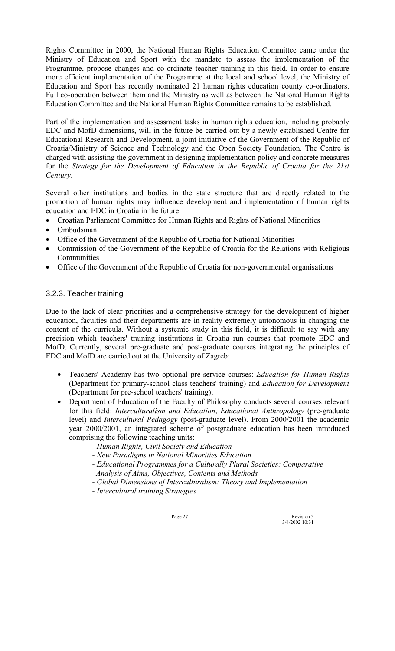Rights Committee in 2000, the National Human Rights Education Committee came under the Ministry of Education and Sport with the mandate to assess the implementation of the Programme, propose changes and co-ordinate teacher training in this field. In order to ensure more efficient implementation of the Programme at the local and school level, the Ministry of Education and Sport has recently nominated 21 human rights education county co-ordinators. Full co-operation between them and the Ministry as well as between the National Human Rights Education Committee and the National Human Rights Committee remains to be established.

Part of the implementation and assessment tasks in human rights education, including probably EDC and MofD dimensions, will in the future be carried out by a newly established Centre for Educational Research and Development, a joint initiative of the Government of the Republic of Croatia/Ministry of Science and Technology and the Open Society Foundation. The Centre is charged with assisting the government in designing implementation policy and concrete measures for the *Strategy for the Development of Education in the Republic of Croatia for the 21st Century*.

Several other institutions and bodies in the state structure that are directly related to the promotion of human rights may influence development and implementation of human rights education and EDC in Croatia in the future:

- Croatian Parliament Committee for Human Rights and Rights of National Minorities
- Ombudsman
- Office of the Government of the Republic of Croatia for National Minorities
- Commission of the Government of the Republic of Croatia for the Relations with Religious **Communities**
- Office of the Government of the Republic of Croatia for non-governmental organisations

### 3.2.3. Teacher training

Due to the lack of clear priorities and a comprehensive strategy for the development of higher education, faculties and their departments are in reality extremely autonomous in changing the content of the curricula. Without a systemic study in this field, it is difficult to say with any precision which teachers' training institutions in Croatia run courses that promote EDC and MofD. Currently, several pre-graduate and post-graduate courses integrating the principles of EDC and MofD are carried out at the University of Zagreb:

- Teachers' Academy has two optional pre-service courses: *Education for Human Rights* (Department for primary-school class teachers' training) and *Education for Development* (Department for pre-school teachers' training);
- Department of Education of the Faculty of Philosophy conducts several courses relevant for this field: *Interculturalism and Education*, *Educational Anthropology* (pre-graduate level) and *Intercultural Pedagogy* (post-graduate level). From 2000/2001 the academic year 2000/2001, an integrated scheme of postgraduate education has been introduced comprising the following teaching units:
	- *Human Rights, Civil Society and Education*
	- *New Paradigms in National Minorities Education*
	- *Educational Programmes for a Culturally Plural Societies: Comparative Analysis of Aims, Objectives, Contents and Methods*
	- *Global Dimensions of Interculturalism: Theory and Implementation*
	- *Intercultural training Strategies*

Page 27 Revision 3 3/4/2002 10:31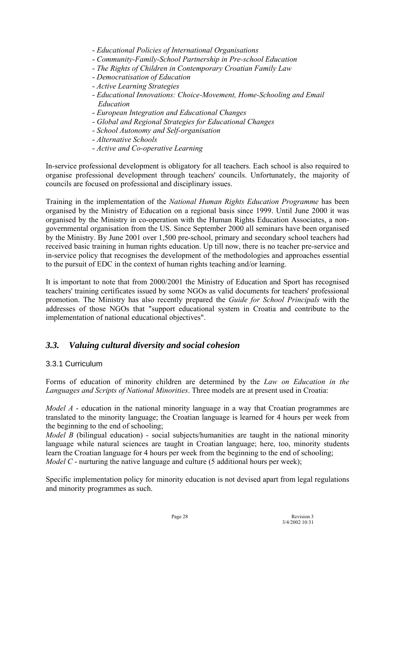- *Educational Policies of International Organisations*
- *Community-Family-School Partnership in Pre-school Education*
- *The Rights of Children in Contemporary Croatian Family Law*
- *Democratisation of Education*
- *Active Learning Strategies*
- *Educational Innovations: Choice-Movement, Home-Schooling and Email Education*
- *European Integration and Educational Changes*
- *Global and Regional Strategies for Educational Changes*
- *School Autonomy and Self-organisation*
- *Alternative Schools*
- *Active and Co-operative Learning*

In-service professional development is obligatory for all teachers. Each school is also required to organise professional development through teachers' councils. Unfortunately, the majority of councils are focused on professional and disciplinary issues.

Training in the implementation of the *National Human Rights Education Programme* has been organised by the Ministry of Education on a regional basis since 1999. Until June 2000 it was organised by the Ministry in co-operation with the Human Rights Education Associates, a nongovernmental organisation from the US. Since September 2000 all seminars have been organised by the Ministry. By June 2001 over 1,500 pre-school, primary and secondary school teachers had received basic training in human rights education. Up till now, there is no teacher pre-service and in-service policy that recognises the development of the methodologies and approaches essential to the pursuit of EDC in the context of human rights teaching and/or learning.

It is important to note that from 2000/2001 the Ministry of Education and Sport has recognised teachers' training certificates issued by some NGOs as valid documents for teachers' professional promotion. The Ministry has also recently prepared the *Guide for School Principals* with the addresses of those NGOs that "support educational system in Croatia and contribute to the implementation of national educational objectives".

### *3.3. Valuing cultural diversity and social cohesion*

### 3.3.1 Curriculum

Forms of education of minority children are determined by the *Law on Education in the Languages and Scripts of National Minorities*. Three models are at present used in Croatia:

*Model A* - education in the national minority language in a way that Croatian programmes are translated to the minority language; the Croatian language is learned for 4 hours per week from the beginning to the end of schooling;

*Model B* (bilingual education) - social subjects/humanities are taught in the national minority language while natural sciences are taught in Croatian language; here, too, minority students learn the Croatian language for 4 hours per week from the beginning to the end of schooling; *Model C* - nurturing the native language and culture (5 additional hours per week);

Specific implementation policy for minority education is not devised apart from legal regulations and minority programmes as such.

Page 28 Revision 3 3/4/2002 10:31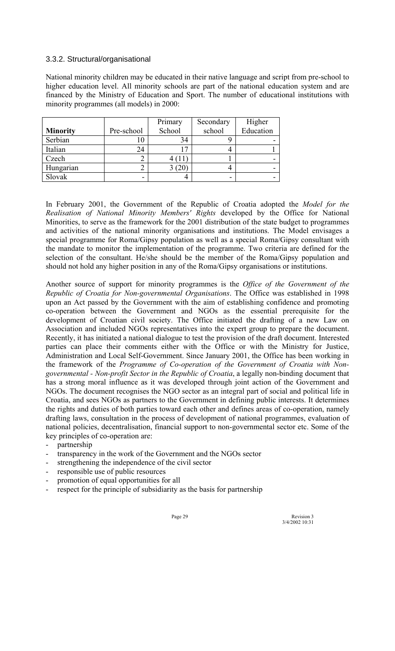### 3.3.2. Structural/organisational

National minority children may be educated in their native language and script from pre-school to higher education level. All minority schools are part of the national education system and are financed by the Ministry of Education and Sport. The number of educational institutions with minority programmes (all models) in 2000:

|                 |            | Primary | Secondary | Higher    |
|-----------------|------------|---------|-----------|-----------|
| <b>Minority</b> | Pre-school | School  | school    | Education |
| Serbian         |            | 34      |           |           |
| Italian         | 24         |         |           |           |
| Czech           |            |         |           |           |
| Hungarian       |            | $20\,$  |           |           |
| Slovak          |            |         |           |           |

In February 2001, the Government of the Republic of Croatia adopted the *Model for the Realisation of National Minority Members' Rights* developed by the Office for National Minorities, to serve as the framework for the 2001 distribution of the state budget to programmes and activities of the national minority organisations and institutions. The Model envisages a special programme for Roma/Gipsy population as well as a special Roma/Gipsy consultant with the mandate to monitor the implementation of the programme. Two criteria are defined for the selection of the consultant. He/she should be the member of the Roma/Gipsy population and should not hold any higher position in any of the Roma/Gipsy organisations or institutions.

Another source of support for minority programmes is the *Office of the Government of the Republic of Croatia for Non-governmental Organisations*. The Office was established in 1998 upon an Act passed by the Government with the aim of establishing confidence and promoting co-operation between the Government and NGOs as the essential prerequisite for the development of Croatian civil society. The Office initiated the drafting of a new Law on Association and included NGOs representatives into the expert group to prepare the document. Recently, it has initiated a national dialogue to test the provision of the draft document. Interested parties can place their comments either with the Office or with the Ministry for Justice, Administration and Local Self-Government. Since January 2001, the Office has been working in the framework of the *Programme of Co-operation of the Government of Croatia with Nongovernmental - Non-profit Sector in the Republic of Croatia*, a legally non-binding document that has a strong moral influence as it was developed through joint action of the Government and NGOs. The document recognises the NGO sector as an integral part of social and political life in Croatia, and sees NGOs as partners to the Government in defining public interests. It determines the rights and duties of both parties toward each other and defines areas of co-operation, namely drafting laws, consultation in the process of development of national programmes, evaluation of national policies, decentralisation, financial support to non-governmental sector etc. Some of the key principles of co-operation are:

- partnership
- transparency in the work of the Government and the NGOs sector
- strengthening the independence of the civil sector
- responsible use of public resources
- promotion of equal opportunities for all
- respect for the principle of subsidiarity as the basis for partnership

Page 29 Revision 3 3/4/2002 10:31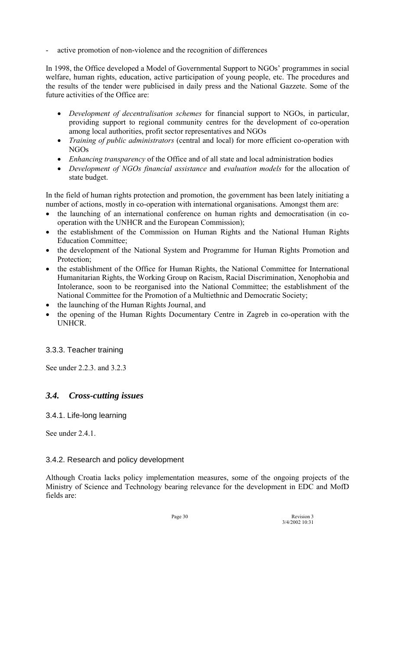active promotion of non-violence and the recognition of differences

In 1998, the Office developed a Model of Governmental Support to NGOs' programmes in social welfare, human rights, education, active participation of young people, etc. The procedures and the results of the tender were publicised in daily press and the National Gazzete. Some of the future activities of the Office are:

- *Development of decentralisation schemes* for financial support to NGOs, in particular, providing support to regional community centres for the development of co-operation among local authorities, profit sector representatives and NGOs
- *Training of public administrators* (central and local) for more efficient co-operation with NGOs
- *Enhancing transparency* of the Office and of all state and local administration bodies
- *Development of NGOs financial assistance* and *evaluation models* for the allocation of state budget.

In the field of human rights protection and promotion, the government has been lately initiating a number of actions, mostly in co-operation with international organisations. Amongst them are:

- the launching of an international conference on human rights and democratisation (in cooperation with the UNHCR and the European Commission);
- the establishment of the Commission on Human Rights and the National Human Rights Education Committee;
- the development of the National System and Programme for Human Rights Promotion and Protection;
- the establishment of the Office for Human Rights, the National Committee for International Humanitarian Rights, the Working Group on Racism, Racial Discrimination, Xenophobia and Intolerance, soon to be reorganised into the National Committee; the establishment of the National Committee for the Promotion of a Multiethnic and Democratic Society;
- the launching of the Human Rights Journal, and
- the opening of the Human Rights Documentary Centre in Zagreb in co-operation with the UNHCR.

### 3.3.3. Teacher training

See under 2.2.3. and 3.2.3

# *3.4. Cross-cutting issues*

### 3.4.1. Life-long learning

See under 2.4.1.

### 3.4.2. Research and policy development

Although Croatia lacks policy implementation measures, some of the ongoing projects of the Ministry of Science and Technology bearing relevance for the development in EDC and MofD fields are:

Page 30 Revision 3<br>3/4/2002 10:31 3/4/2002 10:31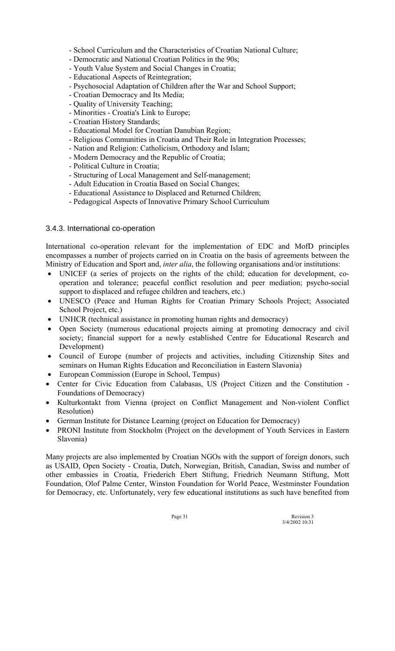- School Curriculum and the Characteristics of Croatian National Culture;
- Democratic and National Croatian Politics in the 90s;
- Youth Value System and Social Changes in Croatia;
- Educational Aspects of Reintegration;
- Psychosocial Adaptation of Children after the War and School Support;
- Croatian Democracy and Its Media;
- Quality of University Teaching;
- Minorities Croatia's Link to Europe;
- Croatian History Standards;
- Educational Model for Croatian Danubian Region;
- Religious Communities in Croatia and Their Role in Integration Processes;
- Nation and Religion: Catholicism, Orthodoxy and Islam;
- Modern Democracy and the Republic of Croatia;
- Political Culture in Croatia;
- Structuring of Local Management and Self-management;
- Adult Education in Croatia Based on Social Changes;
- Educational Assistance to Displaced and Returned Children;
- Pedagogical Aspects of Innovative Primary School Curriculum

### 3.4.3. International co-operation

International co-operation relevant for the implementation of EDC and MofD principles encompasses a number of projects carried on in Croatia on the basis of agreements between the Ministry of Education and Sport and, *inter alia*, the following organisations and/or institutions:

- UNICEF (a series of projects on the rights of the child; education for development, cooperation and tolerance; peaceful conflict resolution and peer mediation; psycho-social support to displaced and refugee children and teachers, etc.)
- UNESCO (Peace and Human Rights for Croatian Primary Schools Project; Associated School Project, etc.)
- UNHCR (technical assistance in promoting human rights and democracy)
- Open Society (numerous educational projects aiming at promoting democracy and civil society; financial support for a newly established Centre for Educational Research and Development)
- Council of Europe (number of projects and activities, including Citizenship Sites and seminars on Human Rights Education and Reconciliation in Eastern Slavonia)
- European Commission (Europe in School, Tempus)
- Center for Civic Education from Calabasas, US (Project Citizen and the Constitution Foundations of Democracy)
- Kulturkontakt from Vienna (project on Conflict Management and Non-violent Conflict Resolution)
- German Institute for Distance Learning (project on Education for Democracy)
- PRONI Institute from Stockholm (Project on the development of Youth Services in Eastern Slavonia)

Many projects are also implemented by Croatian NGOs with the support of foreign donors, such as USAID, Open Society - Croatia, Dutch, Norwegian, British, Canadian, Swiss and number of other embassies in Croatia, Friederich Ebert Stiftung, Friedrich Neumann Stiftung, Mott Foundation, Olof Palme Center, Winston Foundation for World Peace, Westminster Foundation for Democracy, etc. Unfortunately, very few educational institutions as such have benefited from

Page 31 Revision 3<br>3/4/2002 10:31 3/4/2002 10:31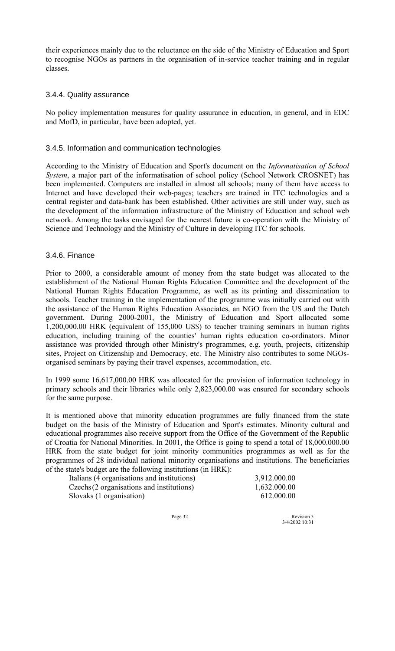their experiences mainly due to the reluctance on the side of the Ministry of Education and Sport to recognise NGOs as partners in the organisation of in-service teacher training and in regular classes.

### 3.4.4. Quality assurance

No policy implementation measures for quality assurance in education, in general, and in EDC and MofD, in particular, have been adopted, yet.

### 3.4.5. Information and communication technologies

According to the Ministry of Education and Sport's document on the *Informatisation of School System*, a major part of the informatisation of school policy (School Network CROSNET) has been implemented. Computers are installed in almost all schools; many of them have access to Internet and have developed their web-pages; teachers are trained in ITC technologies and a central register and data-bank has been established. Other activities are still under way, such as the development of the information infrastructure of the Ministry of Education and school web network. Among the tasks envisaged for the nearest future is co-operation with the Ministry of Science and Technology and the Ministry of Culture in developing ITC for schools.

### 3.4.6. Finance

Prior to 2000, a considerable amount of money from the state budget was allocated to the establishment of the National Human Rights Education Committee and the development of the National Human Rights Education Programme, as well as its printing and dissemination to schools. Teacher training in the implementation of the programme was initially carried out with the assistance of the Human Rights Education Associates, an NGO from the US and the Dutch government. During 2000-2001, the Ministry of Education and Sport allocated some 1,200,000.00 HRK (equivalent of 155,000 US\$) to teacher training seminars in human rights education, including training of the counties' human rights education co-ordinators. Minor assistance was provided through other Ministry's programmes, e.g. youth, projects, citizenship sites, Project on Citizenship and Democracy, etc. The Ministry also contributes to some NGOsorganised seminars by paying their travel expenses, accommodation, etc.

In 1999 some 16,617,000.00 HRK was allocated for the provision of information technology in primary schools and their libraries while only 2,823,000.00 was ensured for secondary schools for the same purpose.

It is mentioned above that minority education programmes are fully financed from the state budget on the basis of the Ministry of Education and Sport's estimates. Minority cultural and educational programmes also receive support from the Office of the Government of the Republic of Croatia for National Minorities. In 2001, the Office is going to spend a total of 18,000.000.00 HRK from the state budget for joint minority communities programmes as well as for the programmes of 28 individual national minority organisations and institutions. The beneficiaries of the state's budget are the following institutions (in HRK):

| Italians (4 organisations and institutions) | 3,912.000.00 |
|---------------------------------------------|--------------|
| Czechs (2 organisations and institutions)   | 1,632.000.00 |
| Slovaks (1 organisation)                    | 612.000.00   |

Page 32 Revision 3 3/4/2002 10:31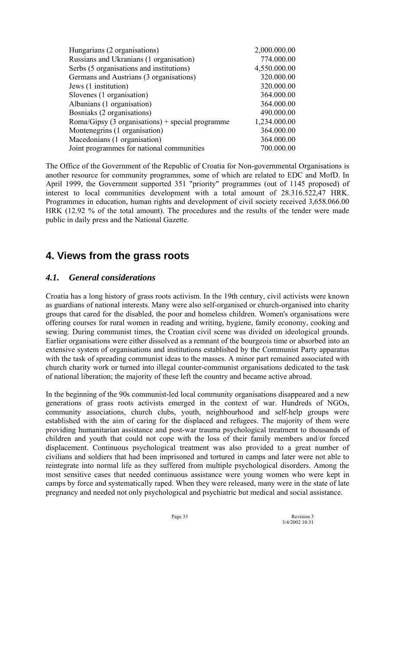| Hungarians (2 organisations)                   | 2,000.000.00 |
|------------------------------------------------|--------------|
| Russians and Ukranians (1 organisation)        | 774.000.00   |
| Serbs (5 organisations and institutions)       | 4,550.000.00 |
| Germans and Austrians (3 organisations)        | 320.000.00   |
| Jews (1 institution)                           | 320.000.00   |
| Slovenes (1 organisation)                      | 364.000.00   |
| Albanians (1 organisation)                     | 364.000.00   |
| Bosniaks (2 organisations)                     | 490.000.00   |
| $Roman/Gipsy (3 organism) + special programme$ | 1,234.000.00 |
| Montenegrins (1 organisation)                  | 364.000.00   |
| Macedonians (1 organisation)                   | 364.000.00   |
| Joint programmes for national communities      | 700.000.00   |
|                                                |              |

The Office of the Government of the Republic of Croatia for Non-governmental Organisations is another resource for community programmes, some of which are related to EDC and MofD. In April 1999, the Government supported 351 "priority" programmes (out of 1145 proposed) of interest to local communities development with a total amount of 28.316.522,47 HRK. Programmes in education, human rights and development of civil society received 3,658.066.00 HRK (12.92 % of the total amount). The procedures and the results of the tender were made public in daily press and the National Gazette.

# **4. Views from the grass roots**

# *4.1. General considerations*

Croatia has a long history of grass roots activism. In the 19th century, civil activists were known as guardians of national interests. Many were also self-organised or church-organised into charity groups that cared for the disabled, the poor and homeless children. Women's organisations were offering courses for rural women in reading and writing, hygiene, family economy, cooking and sewing. During communist times, the Croatian civil scene was divided on ideological grounds. Earlier organisations were either dissolved as a remnant of the bourgeois time or absorbed into an extensive system of organisations and institutions established by the Communist Party apparatus with the task of spreading communist ideas to the masses. A minor part remained associated with church charity work or turned into illegal counter-communist organisations dedicated to the task of national liberation; the majority of these left the country and became active abroad.

In the beginning of the 90s communist-led local community organisations disappeared and a new generations of grass roots activists emerged in the context of war. Hundreds of NGOs, community associations, church clubs, youth, neighbourhood and self-help groups were established with the aim of caring for the displaced and refugees. The majority of them were providing humanitarian assistance and post-war trauma psychological treatment to thousands of children and youth that could not cope with the loss of their family members and/or forced displacement. Continuous psychological treatment was also provided to a great number of civilians and soldiers that had been imprisoned and tortured in camps and later were not able to reintegrate into normal life as they suffered from multiple psychological disorders. Among the most sensitive cases that needed continuous assistance were young women who were kept in camps by force and systematically raped. When they were released, many were in the state of late pregnancy and needed not only psychological and psychiatric but medical and social assistance.

Page 33 Revision 3 3/4/2002 10:31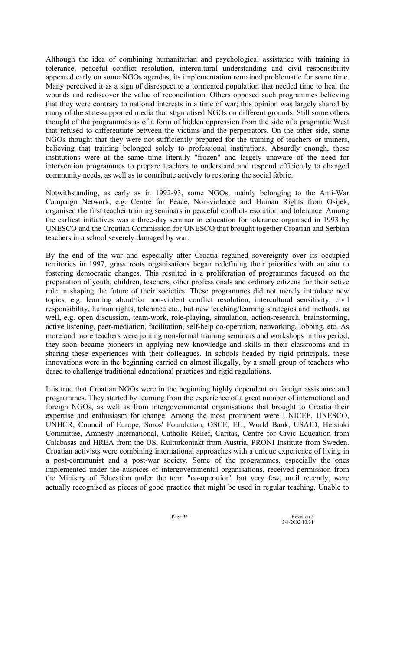Although the idea of combining humanitarian and psychological assistance with training in tolerance, peaceful conflict resolution, intercultural understanding and civil responsibility appeared early on some NGOs agendas, its implementation remained problematic for some time. Many perceived it as a sign of disrespect to a tormented population that needed time to heal the wounds and rediscover the value of reconciliation. Others opposed such programmes believing that they were contrary to national interests in a time of war; this opinion was largely shared by many of the state-supported media that stigmatised NGOs on different grounds. Still some others thought of the programmes as of a form of hidden oppression from the side of a pragmatic West that refused to differentiate between the victims and the perpetrators. On the other side, some NGOs thought that they were not sufficiently prepared for the training of teachers or trainers, believing that training belonged solely to professional institutions. Absurdly enough, these institutions were at the same time literally "frozen" and largely unaware of the need for intervention programmes to prepare teachers to understand and respond efficiently to changed community needs, as well as to contribute actively to restoring the social fabric.

Notwithstanding, as early as in 1992-93, some NGOs, mainly belonging to the Anti-War Campaign Network, e.g. Centre for Peace, Non-violence and Human Rights from Osijek, organised the first teacher training seminars in peaceful conflict-resolution and tolerance. Among the earliest initiatives was a three-day seminar in education for tolerance organised in 1993 by UNESCO and the Croatian Commission for UNESCO that brought together Croatian and Serbian teachers in a school severely damaged by war.

By the end of the war and especially after Croatia regained sovereignty over its occupied territories in 1997, grass roots organisations began redefining their priorities with an aim to fostering democratic changes. This resulted in a proliferation of programmes focused on the preparation of youth, children, teachers, other professionals and ordinary citizens for their active role in shaping the future of their societies. These programmes did not merely introduce new topics, e.g. learning about/for non-violent conflict resolution, intercultural sensitivity, civil responsibility, human rights, tolerance etc., but new teaching/learning strategies and methods, as well, e.g. open discussion, team-work, role-playing, simulation, action-research, brainstorming, active listening, peer-mediation, facilitation, self-help co-operation, networking, lobbing, etc. As more and more teachers were joining non-formal training seminars and workshops in this period, they soon became pioneers in applying new knowledge and skills in their classrooms and in sharing these experiences with their colleagues. In schools headed by rigid principals, these innovations were in the beginning carried on almost illegally, by a small group of teachers who dared to challenge traditional educational practices and rigid regulations.

It is true that Croatian NGOs were in the beginning highly dependent on foreign assistance and programmes. They started by learning from the experience of a great number of international and foreign NGOs, as well as from intergovernmental organisations that brought to Croatia their expertise and enthusiasm for change. Among the most prominent were UNICEF, UNESCO, UNHCR, Council of Europe, Soros' Foundation, OSCE, EU, World Bank, USAID, Helsinki Committee, Amnesty International, Catholic Relief, Caritas, Centre for Civic Education from Calabasas and HREA from the US, Kulturkontakt from Austria, PRONI Institute from Sweden. Croatian activists were combining international approaches with a unique experience of living in a post-communist and a post-war society. Some of the programmes, especially the ones implemented under the auspices of intergovernmental organisations, received permission from the Ministry of Education under the term "co-operation" but very few, until recently, were actually recognised as pieces of good practice that might be used in regular teaching. Unable to

Page 34 Revision 3<br>3/4/2002 10:31 3/4/2002 10:31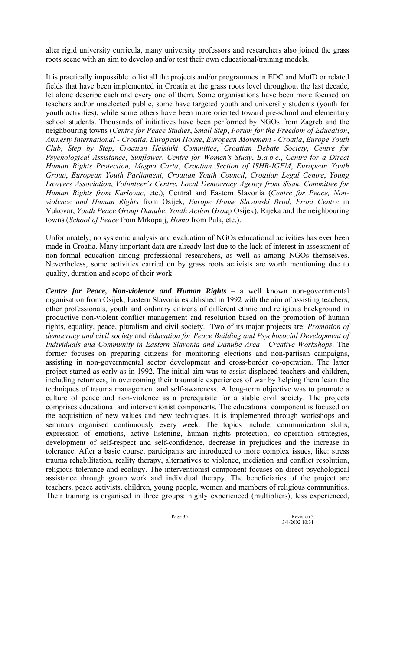alter rigid university curricula, many university professors and researchers also joined the grass roots scene with an aim to develop and/or test their own educational/training models.

It is practically impossible to list all the projects and/or programmes in EDC and MofD or related fields that have been implemented in Croatia at the grass roots level throughout the last decade, let alone describe each and every one of them. Some organisations have been more focused on teachers and/or unselected public, some have targeted youth and university students (youth for youth activities), while some others have been more oriented toward pre-school and elementary school students. Thousands of initiatives have been performed by NGOs from Zagreb and the neighbouring towns (*Centre for Peace Studies*, *Small Step*, *Forum for the Freedom of Education*, *Amnesty International - Croatia*, *European House*, *European Movement - Croatia*, *Europe Youth Club*, *Step by Step*, *Croatian Helsinki Committee*, *Croatian Debate Society*, *Centre for Psychological Assistance*, *Sunflower*, *Centre for Women's Study*, *B.a.b.e.*, *Centre for a Direct Human Rights Protection, Magna Carta*, *Croatian Section of ISHR-IGFM*, *European Youth Group*, *European Youth Parliament*, *Croatian Youth Council*, *Croatian Legal Centre*, *Young*  Lawyers Association, *Volunteer's Centre, Local Democracy Agency from Sisak, Committee for Human Rights from Karlovac*, etc.), Central and Eastern Slavonia (*Centre for Peace, Nonviolence and Human Rights* from Osijek, *Europe House Slavonski Brod*, *Proni Centre* in Vukovar, *Youth Peace Group Danube*, *Youth Action Grou*p Osijek), Rijeka and the neighbouring towns (*School of Peace* from Mrkopalj, *Homo* from Pula, etc.).

Unfortunately, no systemic analysis and evaluation of NGOs educational activities has ever been made in Croatia. Many important data are already lost due to the lack of interest in assessment of non-formal education among professional researchers, as well as among NGOs themselves. Nevertheless, some activities carried on by grass roots activists are worth mentioning due to quality, duration and scope of their work:

*Centre for Peace, Non-violence and Human Rights – a well known non-governmental* organisation from Osijek, Eastern Slavonia established in 1992 with the aim of assisting teachers, other professionals, youth and ordinary citizens of different ethnic and religious background in productive non-violent conflict management and resolution based on the promotion of human rights, equality, peace, pluralism and civil society. Two of its major projects are: *Promotion of democracy and civil society* and *Education for Peace Building and Psychosocial Development of Individuals and Community in Eastern Slavonia and Danube Area - Creative Workshops*. The former focuses on preparing citizens for monitoring elections and non-partisan campaigns, assisting in non-governmental sector development and cross-border co-operation. The latter project started as early as in 1992. The initial aim was to assist displaced teachers and children, including returnees, in overcoming their traumatic experiences of war by helping them learn the techniques of trauma management and self-awareness. A long-term objective was to promote a culture of peace and non-violence as a prerequisite for a stable civil society. The projects comprises educational and interventionist components. The educational component is focused on the acquisition of new values and new techniques. It is implemented through workshops and seminars organised continuously every week. The topics include: communication skills, expression of emotions, active listening, human rights protection, co-operation strategies, development of self-respect and self-confidence, decrease in prejudices and the increase in tolerance. After a basic course, participants are introduced to more complex issues, like: stress trauma rehabilitation, reality therapy, alternatives to violence, mediation and conflict resolution, religious tolerance and ecology. The interventionist component focuses on direct psychological assistance through group work and individual therapy. The beneficiaries of the project are teachers, peace activists, children, young people, women and members of religious communities. Their training is organised in three groups: highly experienced (multipliers), less experienced,

Page 35 Revision 3 3/4/2002 10:31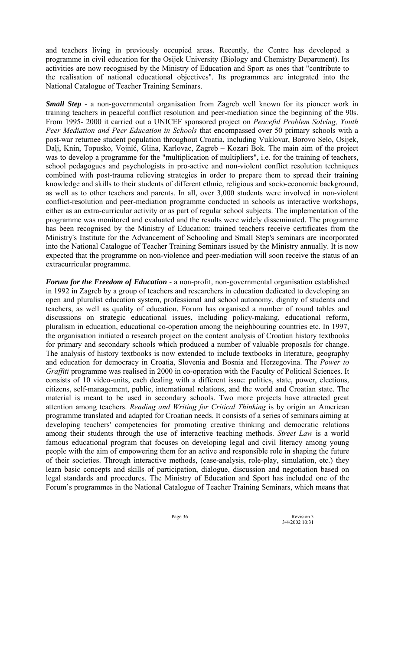and teachers living in previously occupied areas. Recently, the Centre has developed a programme in civil education for the Osijek University (Biology and Chemistry Department). Its activities are now recognised by the Ministry of Education and Sport as ones that "contribute to the realisation of national educational objectives". Its programmes are integrated into the National Catalogue of Teacher Training Seminars.

*Small Step* - a non-governmental organisation from Zagreb well known for its pioneer work in training teachers in peaceful conflict resolution and peer-mediation since the beginning of the 90s. From 1995- 2000 it carried out a UNICEF sponsored project on *Peaceful Problem Solving, Youth Peer Mediation and Peer Education in Schools* that encompassed over 50 primary schools with a post-war returnee student population throughout Croatia, including Vuklovar, Borovo Selo, Osijek, Dalj, Knin, Topusko, Vojnić, Glina, Karlovac, Zagreb – Kozari Bok. The main aim of the project was to develop a programme for the "multiplication of multipliers", i.e. for the training of teachers, school pedagogues and psychologists in pro-active and non-violent conflict resolution techniques combined with post-trauma relieving strategies in order to prepare them to spread their training knowledge and skills to their students of different ethnic, religious and socio-economic background, as well as to other teachers and parents. In all, over 3,000 students were involved in non-violent conflict-resolution and peer-mediation programme conducted in schools as interactive workshops, either as an extra-curricular activity or as part of regular school subjects. The implementation of the programme was monitored and evaluated and the results were widely disseminated. The programme has been recognised by the Ministry of Education: trained teachers receive certificates from the Ministry's Institute for the Advancement of Schooling and Small Step's seminars are incorporated into the National Catalogue of Teacher Training Seminars issued by the Ministry annually. It is now expected that the programme on non-violence and peer-mediation will soon receive the status of an extracurricular programme.

*Forum for the Freedom of Education* - a non-profit, non-governmental organisation established in 1992 in Zagreb by a group of teachers and researchers in education dedicated to developing an open and pluralist education system, professional and school autonomy, dignity of students and teachers, as well as quality of education. Forum has organised a number of round tables and discussions on strategic educational issues, including policy-making, educational reform, pluralism in education, educational co-operation among the neighbouring countries etc. In 1997, the organisation initiated a research project on the content analysis of Croatian history textbooks for primary and secondary schools which produced a number of valuable proposals for change. The analysis of history textbooks is now extended to include textbooks in literature, geography and education for democracy in Croatia, Slovenia and Bosnia and Herzegovina. The *Power to Graffiti* programme was realised in 2000 in co-operation with the Faculty of Political Sciences. It consists of 10 video-units, each dealing with a different issue: politics, state, power, elections, citizens, self-management, public, international relations, and the world and Croatian state. The material is meant to be used in secondary schools. Two more projects have attracted great attention among teachers. *Reading and Writing for Critical Thinking* is by origin an American programme translated and adapted for Croatian needs. It consists of a series of seminars aiming at developing teachers' competencies for promoting creative thinking and democratic relations among their students through the use of interactive teaching methods. *Street Law* is a world famous educational program that focuses on developing legal and civil literacy among young people with the aim of empowering them for an active and responsible role in shaping the future of their societies. Through interactive methods, (case-analysis, role-play, simulation, etc.) they learn basic concepts and skills of participation, dialogue, discussion and negotiation based on legal standards and procedures. The Ministry of Education and Sport has included one of the Forum's programmes in the National Catalogue of Teacher Training Seminars, which means that

Page 36 Revision 3<br>3/4/2002 10:31 3/4/2002 10:31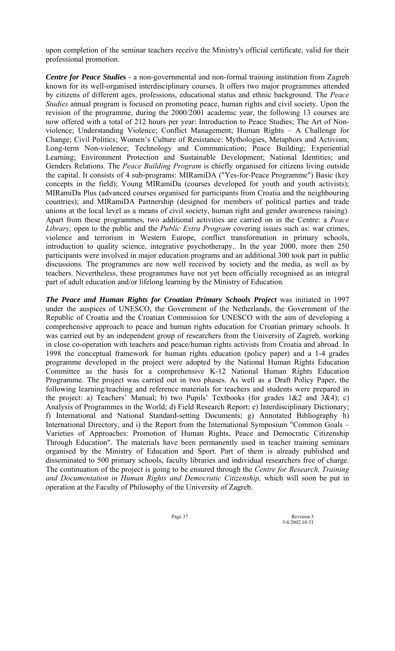upon completion of the seminar teachers receive the Ministry's official certificate, valid for their professional promotion.

*Centre for Peace Studies* - a non-governmental and non-formal training institution from Zagreb known for its well-organised interdisciplinary courses. It offers two major programmes attended by citizens of different ages, professions, educational status and ethnic background. The *Peace Studies* annual program is focused on promoting peace, human rights and civil society. Upon the revision of the programme, during the 2000/2001 academic year, the following 13 courses are now offered with a total of 212 hours per year: Introduction to Peace Studies; The Art of Nonviolence; Understanding Violence; Conflict Management; Human Rights - A Challenge for Change; Civil Politics; Women's Culture of Resistance: Mythologies, Metaphors and Activism; Long-term Non-violence; Technology and Communication; Peace Building; Experiential Learning; Environment Protection and Sustainable Development; National Identities; and Genders Relations. The *Peace Building Program* is chiefly organised for citizens living outside the capital. It consists of 4 sub-programs: MIRamiDA ("Yes-for-Peace Programme") Basic (key concepts in the field); Young MIRamiDa (courses developed for youth and youth activists); MIRamiDa Plus (advanced courses organised for participants from Croatia and the neighbouring countries); and MIRamiDA Partnership (designed for members of political parties and trade unions at the local level as a means of civil society, human right and gender awareness raising). Apart from these programmes, two additional activities are carried on in the Centre: a *Peace Library,* open to the public and the *Public Extra Program* covering issues such as: war crimes, violence and terrorism in Western Europe, conflict transformation in primary schools, introduction to quality science, integrative psychotherapy.. In the year 2000, more then 250 participants were involved in major education programs and an additional 300 took part in public discussions. The programmes are now well received by society and the media, as well as by teachers. Nevertheless, these programmes have not yet been officially recognised as an integral part of adult education and/or lifelong learning by the Ministry of Education.

*The Peace and Human Rights for Croatian Primary Schools Project* was initiated in 1997 under the auspices of UNESCO, the Government of the Netherlands, the Government of the Republic of Croatia and the Croatian Commission for UNESCO with the aim of developing a comprehensive approach to peace and human rights education for Croatian primary schools. It was carried out by an independent group of researchers from the University of Zagreb, working in close co-operation with teachers and peace/human rights activists from Croatia and abroad. In 1998 the conceptual framework for human rights education (policy paper) and a 1-4 grades programme developed in the project were adopted by the National Human Rights Education Committee as the basis for a comprehensive K-12 National Human Rights Education Programme. The project was carried out in two phases. As well as a Draft Policy Paper, the following learning/teaching and reference materials for teachers and students were prepared in the project: a) Teachers' Manual; b) two Pupils' Textbooks (for grades  $1&2$  and  $3&4$ ); c) Analysis of Programmes in the World; d) Field Research Report; e) Interdisciplinary Dictionary; f) International and National Standard-setting Documents; g) Annotated Bibliography h) International Directory, and i) the Report from the International Symposium "Common Goals – Varieties of Approaches: Promotion of Human Rights, Peace and Democratic Citizenship Through Education". The materials have been permanently used in teacher training seminars organised by the Ministry of Education and Sport. Part of them is already published and disseminated to 500 primary schools, faculty libraries and individual researchers free of charge. The continuation of the project is going to be ensured through the *Centre for Research, Training and Documentation in Human Rights and Democratic Citizenship,* which will soon be put in operation at the Faculty of Philosophy of the University of Zagreb.

Page 37 Revision 3 3/4/2002 10:31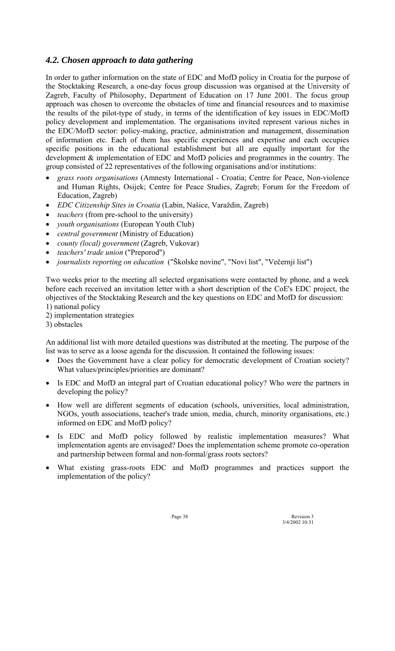# *4.2. Chosen approach to data gathering*

In order to gather information on the state of EDC and MofD policy in Croatia for the purpose of the Stocktaking Research, a one-day focus group discussion was organised at the University of Zagreb, Faculty of Philosophy, Department of Education on 17 June 2001. The focus group approach was chosen to overcome the obstacles of time and financial resources and to maximise the results of the pilot-type of study, in terms of the identification of key issues in EDC/MofD policy development and implementation. The organisations invited represent various niches in the EDC/MofD sector: policy-making, practice, administration and management, dissemination of information etc. Each of them has specific experiences and expertise and each occupies specific positions in the educational establishment but all are equally important for the development & implementation of EDC and MofD policies and programmes in the country. The group consisted of 22 representatives of the following organisations and/or institutions:

- *grass roots organisations* (Amnesty International Croatia; Centre for Peace, Non-violence and Human Rights, Osijek; Centre for Peace Studies, Zagreb; Forum for the Freedom of Education, Zagreb)
- *EDC Citizenship Sites in Croatia* (Labin, Našice, Varaždin, Zagreb)
- *teachers* (from pre-school to the university)
- *youth organisations* (European Youth Club)
- *central government* (Ministry of Education)
- *county (local) government* (Zagreb, Vukovar)
- *teachers' trade union* ("Preporod")
- *journalists reporting on education* ("äkolske novine", "Novi list", "Večernji list")

Two weeks prior to the meeting all selected organisations were contacted by phone, and a week before each received an invitation letter with a short description of the CoE's EDC project, the objectives of the Stocktaking Research and the key questions on EDC and MofD for discussion: 1) national policy

- 2) implementation strategies
- 3) obstacles

An additional list with more detailed questions was distributed at the meeting. The purpose of the list was to serve as a loose agenda for the discussion. It contained the following issues:

- Does the Government have a clear policy for democratic development of Croatian society? What values/principles/priorities are dominant?
- Is EDC and MofD an integral part of Croatian educational policy? Who were the partners in developing the policy?
- How well are different segments of education (schools, universities, local administration, NGOs, youth associations, teacher's trade union, media, church, minority organisations, etc.) informed on EDC and MofD policy?
- Is EDC and MofD policy followed by realistic implementation measures? What implementation agents are envisaged? Does the implementation scheme promote co-operation and partnership between formal and non-formal/grass roots sectors?
- What existing grass-roots EDC and MofD programmes and practices support the implementation of the policy?

Page 38 Revision 3 3/4/2002 10:31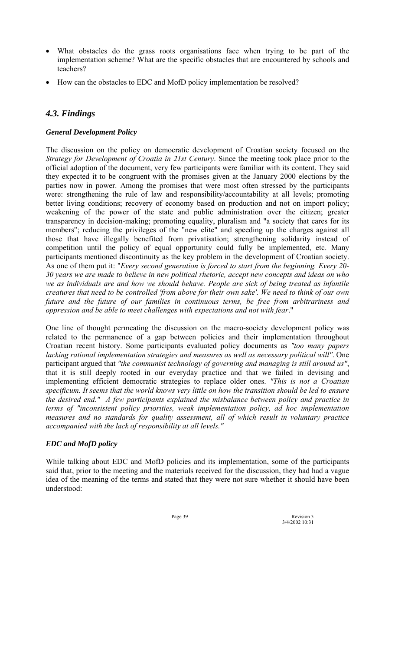- What obstacles do the grass roots organisations face when trying to be part of the implementation scheme? What are the specific obstacles that are encountered by schools and teachers?
- How can the obstacles to EDC and MofD policy implementation be resolved?

# *4.3. Findings*

### *General Development Policy*

The discussion on the policy on democratic development of Croatian society focused on the *Strategy for Development of Croatia in 21st Century*. Since the meeting took place prior to the official adoption of the document, very few participants were familiar with its content. They said they expected it to be congruent with the promises given at the January 2000 elections by the parties now in power. Among the promises that were most often stressed by the participants were: strengthening the rule of law and responsibility/accountability at all levels; promoting better living conditions; recovery of economy based on production and not on import policy; weakening of the power of the state and public administration over the citizen; greater transparency in decision-making; promoting equality, pluralism and "a society that cares for its members"; reducing the privileges of the "new elite" and speeding up the charges against all those that have illegally benefited from privatisation; strengthening solidarity instead of competition until the policy of equal opportunity could fully be implemented, etc. Many participants mentioned discontinuity as the key problem in the development of Croatian society. As one of them put it: "*Every second generation is forced to start from the beginning. Every 20- 30 years we are made to believe in new political rhetoric, accept new concepts and ideas on who we as individuals are and how we should behave. People are sick of being treated as infantile creatures that need to be controlled 'from above for their own sake'. We need to think of our own future and the future of our families in continuous terms, be free from arbitrariness and oppression and be able to meet challenges with expectations and not with fear*."

One line of thought permeating the discussion on the macro-society development policy was related to the permanence of a gap between policies and their implementation throughout Croatian recent history. Some participants evaluated policy documents as *"too many papers lacking rational implementation strategies and measures as well as necessary political will"*. One participant argued that *"the communist technology of governing and managing is still around us"*, that it is still deeply rooted in our everyday practice and that we failed in devising and implementing efficient democratic strategies to replace older ones. *"This is not a Croatian specificum. It seems that the world knows very little on how the transition should be led to ensure the desired end." A few participants explained the misbalance between policy and practice in terms of "inconsistent policy priorities, weak implementation policy, ad hoc implementation measures and no standards for quality assessment, all of which result in voluntary practice accompanied with the lack of responsibility at all levels."*

### *EDC and MofD policy*

While talking about EDC and MofD policies and its implementation, some of the participants said that, prior to the meeting and the materials received for the discussion, they had had a vague idea of the meaning of the terms and stated that they were not sure whether it should have been understood:

Page 39 Revision 3 3/4/2002 10:31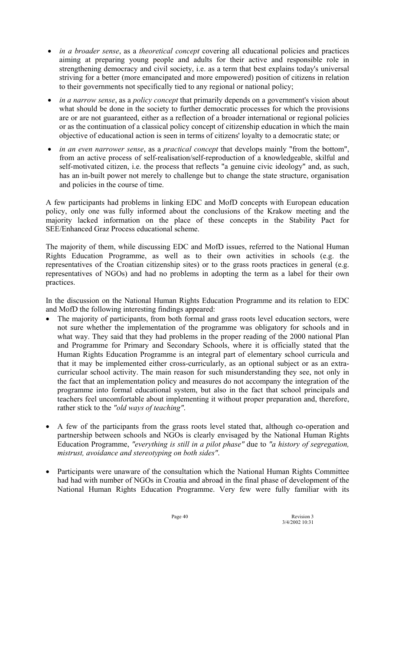- *in a broader sense*, as a *theoretical concept* covering all educational policies and practices aiming at preparing young people and adults for their active and responsible role in strengthening democracy and civil society, i.e. as a term that best explains today's universal striving for a better (more emancipated and more empowered) position of citizens in relation to their governments not specifically tied to any regional or national policy;
- *in a narrow sense*, as a *policy concept* that primarily depends on a government's vision about what should be done in the society to further democratic processes for which the provisions are or are not guaranteed, either as a reflection of a broader international or regional policies or as the continuation of a classical policy concept of citizenship education in which the main objective of educational action is seen in terms of citizens' loyalty to a democratic state; or
- *in an even narrower sense*, as a *practical concept* that develops mainly "from the bottom", from an active process of self-realisation/self-reproduction of a knowledgeable, skilful and self-motivated citizen, i.e. the process that reflects "a genuine civic ideology" and, as such, has an in-built power not merely to challenge but to change the state structure, organisation and policies in the course of time.

A few participants had problems in linking EDC and MofD concepts with European education policy, only one was fully informed about the conclusions of the Krakow meeting and the majority lacked information on the place of these concepts in the Stability Pact for SEE/Enhanced Graz Process educational scheme.

The majority of them, while discussing EDC and MofD issues, referred to the National Human Rights Education Programme, as well as to their own activities in schools (e.g. the representatives of the Croatian citizenship sites) or to the grass roots practices in general (e.g. representatives of NGOs) and had no problems in adopting the term as a label for their own practices.

In the discussion on the National Human Rights Education Programme and its relation to EDC and MofD the following interesting findings appeared:

- The majority of participants, from both formal and grass roots level education sectors, were not sure whether the implementation of the programme was obligatory for schools and in what way. They said that they had problems in the proper reading of the 2000 national Plan and Programme for Primary and Secondary Schools, where it is officially stated that the Human Rights Education Programme is an integral part of elementary school curricula and that it may be implemented either cross-curricularly, as an optional subject or as an extracurricular school activity. The main reason for such misunderstanding they see, not only in the fact that an implementation policy and measures do not accompany the integration of the programme into formal educational system, but also in the fact that school principals and teachers feel uncomfortable about implementing it without proper preparation and, therefore, rather stick to the *"old ways of teaching"*.
- A few of the participants from the grass roots level stated that, although co-operation and partnership between schools and NGOs is clearly envisaged by the National Human Rights Education Programme, *"everything is still in a pilot phase"* due to *"a history of segregation, mistrust, avoidance and stereotyping on both sides"*.
- Participants were unaware of the consultation which the National Human Rights Committee had had with number of NGOs in Croatia and abroad in the final phase of development of the National Human Rights Education Programme. Very few were fully familiar with its

Page 40 Revision 3 3/4/2002 10:31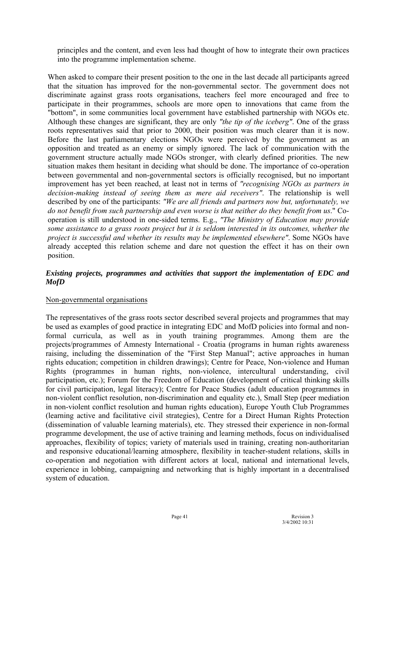principles and the content, and even less had thought of how to integrate their own practices into the programme implementation scheme.

When asked to compare their present position to the one in the last decade all participants agreed that the situation has improved for the non-governmental sector. The government does not discriminate against grass roots organisations, teachers feel more encouraged and free to participate in their programmes, schools are more open to innovations that came from the "bottom", in some communities local government have established partnership with NGOs etc. Although these changes are significant, they are only *"the tip of the iceberg"*. One of the grass roots representatives said that prior to 2000, their position was much clearer than it is now. Before the last parliamentary elections NGOs were perceived by the government as an opposition and treated as an enemy or simply ignored. The lack of communication with the government structure actually made NGOs stronger, with clearly defined priorities. The new situation makes them hesitant in deciding what should be done. The importance of co-operation between governmental and non-governmental sectors is officially recognised, but no important improvement has yet been reached, at least not in terms of *"recognising NGOs as partners in decision-making instead of seeing them as mere aid receivers"*. The relationship is well described by one of the participants: *"We are all friends and partners now but, unfortunately, we do not benefit from such partnership and even worse is that neither do they benefit from us*." Cooperation is still understood in one-sided terms. E.g., *"The Ministry of Education may provide some assistance to a grass roots project but it is seldom interested in its outcomes, whether the project is successful and whether its results may be implemented elsewhere"*. Some NGOs have already accepted this relation scheme and dare not question the effect it has on their own position.

### *Existing projects, programmes and activities that support the implementation of EDC and MofD*

### Non-governmental organisations

The representatives of the grass roots sector described several projects and programmes that may be used as examples of good practice in integrating EDC and MofD policies into formal and nonformal curricula, as well as in youth training programmes. Among them are the projects/programmes of Amnesty International - Croatia (programs in human rights awareness raising, including the dissemination of the "First Step Manual"; active approaches in human rights education; competition in children drawings); Centre for Peace, Non-violence and Human Rights (programmes in human rights, non-violence, intercultural understanding, civil participation, etc.); Forum for the Freedom of Education (development of critical thinking skills for civil participation, legal literacy); Centre for Peace Studies (adult education programmes in non-violent conflict resolution, non-discrimination and equality etc.), Small Step (peer mediation in non-violent conflict resolution and human rights education), Europe Youth Club Programmes (learning active and facilitative civil strategies), Centre for a Direct Human Rights Protection (dissemination of valuable learning materials), etc. They stressed their experience in non-formal programme development, the use of active training and learning methods, focus on individualised approaches, flexibility of topics; variety of materials used in training, creating non-authoritarian and responsive educational/learning atmosphere, flexibility in teacher-student relations, skills in co-operation and negotiation with different actors at local, national and international levels, experience in lobbing, campaigning and networking that is highly important in a decentralised system of education.

Page 41 Revision 3 3/4/2002 10:31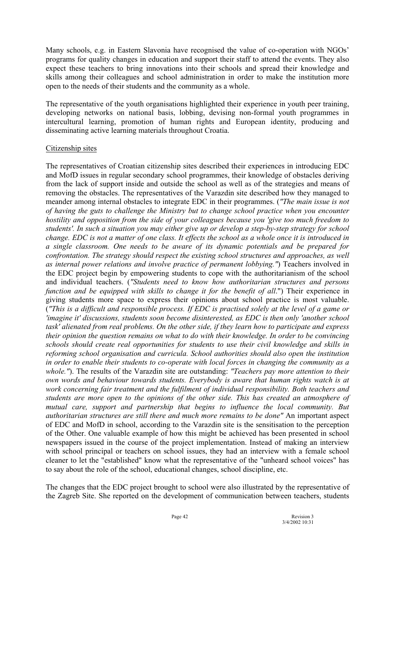Many schools, e.g. in Eastern Slavonia have recognised the value of co-operation with NGOs' programs for quality changes in education and support their staff to attend the events. They also expect these teachers to bring innovations into their schools and spread their knowledge and skills among their colleagues and school administration in order to make the institution more open to the needs of their students and the community as a whole.

The representative of the youth organisations highlighted their experience in youth peer training, developing networks on national basis, lobbing, devising non-formal youth programmes in intercultural learning, promotion of human rights and European identity, producing and disseminating active learning materials throughout Croatia.

### Citizenship sites

The representatives of Croatian citizenship sites described their experiences in introducing EDC and MofD issues in regular secondary school programmes, their knowledge of obstacles deriving from the lack of support inside and outside the school as well as of the strategies and means of removing the obstacles. The representatives of the Varazdin site described how they managed to meander among internal obstacles to integrate EDC in their programmes. (*"The main issue is not of having the guts to challenge the Ministry but to change school practice when you encounter hostility and opposition from the side of your colleagues because you 'give too much freedom to students'. In such a situation you may either give up or develop a step-by-step strategy for school change. EDC is not a matter of one class. It effects the school as a whole once it is introduced in a single classroom. One needs to be aware of its dynamic potentials and be prepared for confrontation. The strategy should respect the existing school structures and approaches, as well as internal power relations and involve practice of permanent lobbying."*) Teachers involved in the EDC project begin by empowering students to cope with the authoritarianism of the school and individual teachers. (*"Students need to know how authoritarian structures and persons function and be equipped with skills to change it for the benefit of all*.") Their experience in giving students more space to express their opinions about school practice is most valuable. (*"This is a difficult and responsible process. If EDC is practised solely at the level of a game or 'imagine it' discussions, students soon become disinterested, as EDC is then only 'another school task' alienated from real problems. On the other side, if they learn how to participate and express their opinion the question remains on what to do with their knowledge. In order to be convincing schools should create real opportunities for students to use their civil knowledge and skills in reforming school organisation and curricula. School authorities should also open the institution in order to enable their students to co-operate with local forces in changing the community as a whole."*). The results of the Varazdin site are outstanding: *"Teachers pay more attention to their own words and behaviour towards students. Everybody is aware that human rights watch is at work concerning fair treatment and the fulfilment of individual responsibility. Both teachers and students are more open to the opinions of the other side. This has created an atmosphere of mutual care, support and partnership that begins to influence the local community. But authoritarian structures are still there and much more remains to be done"* An important aspect of EDC and MofD in school, according to the Varazdin site is the sensitisation to the perception of the Other. One valuable example of how this might be achieved has been presented in school newspapers issued in the course of the project implementation. Instead of making an interview with school principal or teachers on school issues, they had an interview with a female school cleaner to let the "established" know what the representative of the "unheard school voices" has to say about the role of the school, educational changes, school discipline, etc.

The changes that the EDC project brought to school were also illustrated by the representative of the Zagreb Site. She reported on the development of communication between teachers, students

Page 42 Revision 3<br>3/4/2002 10:31 3/4/2002 10:31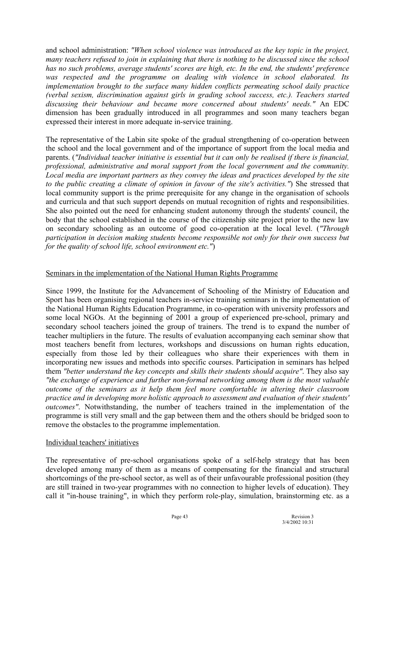and school administration: *"When school violence was introduced as the key topic in the project, many teachers refused to join in explaining that there is nothing to be discussed since the school has no such problems, average students' scores are high, etc. In the end, the students' preference*  was respected and the programme on dealing with violence in school elaborated. Its *implementation brought to the surface many hidden conflicts permeating school daily practice (verbal sexism, discrimination against girls in grading school success, etc.). Teachers started discussing their behaviour and became more concerned about students' needs."* An EDC dimension has been gradually introduced in all programmes and soon many teachers began expressed their interest in more adequate in-service training.

The representative of the Labin site spoke of the gradual strengthening of co-operation between the school and the local government and of the importance of support from the local media and parents. (*"Individual teacher initiative is essential but it can only be realised if there is financial, professional, administrative and moral support from the local government and the community. Local media are important partners as they convey the ideas and practices developed by the site to the public creating a climate of opinion in favour of the site's activities."*) She stressed that local community support is the prime prerequisite for any change in the organisation of schools and curricula and that such support depends on mutual recognition of rights and responsibilities. She also pointed out the need for enhancing student autonomy through the students' council, the body that the school established in the course of the citizenship site project prior to the new law on secondary schooling as an outcome of good co-operation at the local level. (*"Through participation in decision making students become responsible not only for their own success but for the quality of school life, school environment etc."*)

### Seminars in the implementation of the National Human Rights Programme

Since 1999, the Institute for the Advancement of Schooling of the Ministry of Education and Sport has been organising regional teachers in-service training seminars in the implementation of the National Human Rights Education Programme, in co-operation with university professors and some local NGOs. At the beginning of 2001 a group of experienced pre-school, primary and secondary school teachers joined the group of trainers. The trend is to expand the number of teacher multipliers in the future. The results of evaluation accompanying each seminar show that most teachers benefit from lectures, workshops and discussions on human rights education, especially from those led by their colleagues who share their experiences with them in incorporating new issues and methods into specific courses. Participation in seminars has helped them *"better understand the key concepts and skills their students should acquire"*. They also say *"the exchange of experience and further non-formal networking among them is the most valuable outcome of the seminars as it help them feel more comfortable in altering their classroom practice and in developing more holistic approach to assessment and evaluation of their students' outcomes"*. Notwithstanding, the number of teachers trained in the implementation of the programme is still very small and the gap between them and the others should be bridged soon to remove the obstacles to the programme implementation.

#### Individual teachers' initiatives

The representative of pre-school organisations spoke of a self-help strategy that has been developed among many of them as a means of compensating for the financial and structural shortcomings of the pre-school sector, as well as of their unfavourable professional position (they are still trained in two-year programmes with no connection to higher levels of education). They call it "in-house training", in which they perform role-play, simulation, brainstorming etc. as a

Page 43 Revision 3 3/4/2002 10:31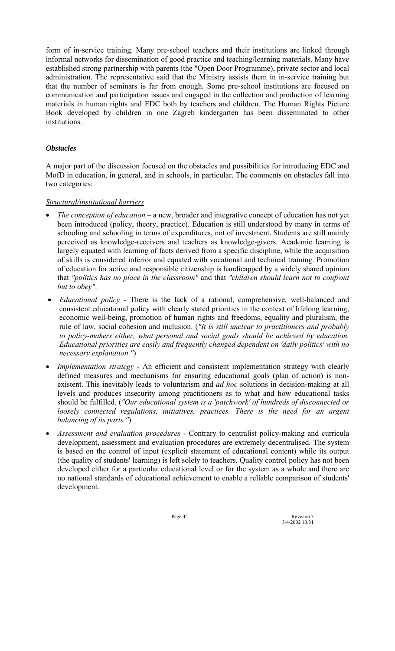form of in-service training. Many pre-school teachers and their institutions are linked through informal networks for dissemination of good practice and teaching/learning materials. Many have established strong partnership with parents (the "Open Door Programme), private sector and local administration. The representative said that the Ministry assists them in in-service training but that the number of seminars is far from enough. Some pre-school institutions are focused on communication and participation issues and engaged in the collection and production of learning materials in human rights and EDC both by teachers and children. The Human Rights Picture Book developed by children in one Zagreb kindergarten has been disseminated to other institutions.

### *Obstacles*

A major part of the discussion focused on the obstacles and possibilities for introducing EDC and MofD in education, in general, and in schools, in particular. The comments on obstacles fall into two categories:

### *Structural/institutional barriers*

- *The conception of education* a new, broader and integrative concept of education has not yet been introduced (policy, theory, practice). Education is still understood by many in terms of schooling and schooling in terms of expenditures, not of investment. Students are still mainly perceived as knowledge-receivers and teachers as knowledge-givers. Academic learning is largely equated with learning of facts derived from a specific discipline, while the acquisition of skills is considered inferior and equated with vocational and technical training. Promotion of education for active and responsible citizenship is handicapped by a widely shared opinion that *"politics has no place in the classroom"* and that *"children should learn not to confront but to obey"*.
- *Educational policy* There is the lack of a rational, comprehensive, well-balanced and consistent educational policy with clearly stated priorities in the context of lifelong learning, economic well-being, promotion of human rights and freedoms, equality and pluralism, the rule of law, social cohesion and inclusion. (*"It is still unclear to practitioners and probably to policy-makers either, what personal and social goals should be achieved by education. Educational priorities are easily and frequently changed dependent on 'daily politics' with no necessary explanation."*)
- *Implementation strategy* An efficient and consistent implementation strategy with clearly defined measures and mechanisms for ensuring educational goals (plan of action) is nonexistent. This inevitably leads to voluntarism and *ad hoc* solutions in decision-making at all levels and produces insecurity among practitioners as to what and how educational tasks should be fulfilled. (*"Our educational system is a 'patchwork' of hundreds of disconnected or loosely connected regulations, initiatives, practices. There is the need for an urgent balancing of its parts."*)
- *Assessment and evaluation procedures* Contrary to centralist policy-making and curricula development, assessment and evaluation procedures are extremely decentralised. The system is based on the control of input (explicit statement of educational content) while its output (the quality of students' learning) is left solely to teachers. Quality control policy has not been developed either for a particular educational level or for the system as a whole and there are no national standards of educational achievement to enable a reliable comparison of students' development.

Page 44 Revision 3 3/4/2002 10:31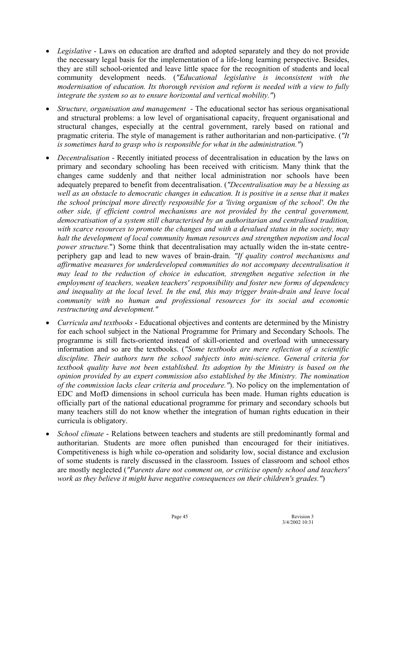- *Legislative* Laws on education are drafted and adopted separately and they do not provide the necessary legal basis for the implementation of a life-long learning perspective. Besides, they are still school-oriented and leave little space for the recognition of students and local community development needs. (*"Educational legislative is inconsistent with the modernisation of education. Its thorough revision and reform is needed with a view to fully integrate the system so as to ensure horizontal and vertical mobility."*)
- *Structure, organisation and management* The educational sector has serious organisational and structural problems: a low level of organisational capacity, frequent organisational and structural changes, especially at the central government, rarely based on rational and pragmatic criteria. The style of management is rather authoritarian and non-participative. (*"It is sometimes hard to grasp who is responsible for what in the administration."*)
- *Decentralisation* Recently initiated process of decentralisation in education by the laws on primary and secondary schooling has been received with criticism. Many think that the changes came suddenly and that neither local administration nor schools have been adequately prepared to benefit from decentralisation. (*"Decentralisation may be a blessing as well as an obstacle to democratic changes in education. It is positive in a sense that it makes the school principal more directly responsible for a 'living organism of the school'. On the other side, if efficient control mechanisms are not provided by the central government, democratisation of a system still characterised by an authoritarian and centralised tradition, with scarce resources to promote the changes and with a devalued status in the society, may halt the development of local community human resources and strengthen nepotism and local power structure.*") Some think that decentralisation may actually widen the in-state centreperiphery gap and lead to new waves of brain-drain. *"If quality control mechanisms and affirmative measures for underdeveloped communities do not accompany decentralisation it may lead to the reduction of choice in education, strengthen negative selection in the employment of teachers, weaken teachers' responsibility and foster new forms of dependency and inequality at the local level. In the end, this may trigger brain-drain and leave local community with no human and professional resources for its social and economic restructuring and development."*
- *Curricula and textbooks* Educational objectives and contents are determined by the Ministry for each school subject in the National Programme for Primary and Secondary Schools. The programme is still facts-oriented instead of skill-oriented and overload with unnecessary information and so are the textbooks. (*"Some textbooks are mere reflection of a scientific discipline. Their authors turn the school subjects into mini-science. General criteria for textbook quality have not been established. Its adoption by the Ministry is based on the opinion provided by an expert commission also established by the Ministry. The nomination of the commission lacks clear criteria and procedure."*). No policy on the implementation of EDC and MofD dimensions in school curricula has been made. Human rights education is officially part of the national educational programme for primary and secondary schools but many teachers still do not know whether the integration of human rights education in their curricula is obligatory.
- *School climate* Relations between teachers and students are still predominantly formal and authoritarian. Students are more often punished than encouraged for their initiatives. Competitiveness is high while co-operation and solidarity low, social distance and exclusion of some students is rarely discussed in the classroom. Issues of classroom and school ethos are mostly neglected (*"Parents dare not comment on, or criticise openly school and teachers' work as they believe it might have negative consequences on their children's grades."*)

Page 45 Revision 3<br>3/4/2002 10:31 3/4/2002 10:31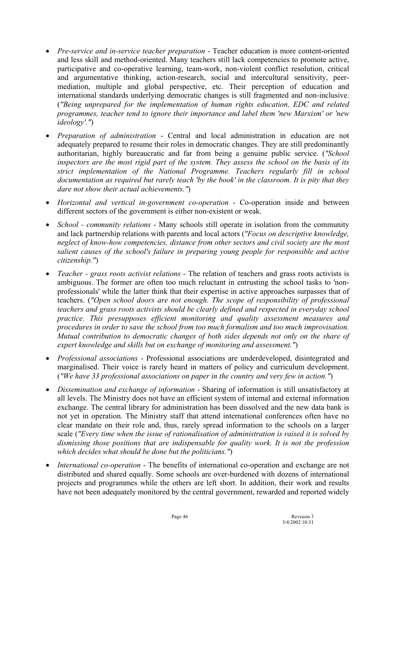- *Pre-service and in-service teacher preparation* Teacher education is more content-oriented and less skill and method-oriented. Many teachers still lack competencies to promote active, participative and co-operative learning, team-work, non-violent conflict resolution, critical and argumentative thinking, action-research, social and intercultural sensitivity, peermediation, multiple and global perspective, etc. Their perception of education and international standards underlying democratic changes is still fragmented and non-inclusive. (*"Being unprepared for the implementation of human rights education, EDC and related programmes, teacher tend to ignore their importance and label them 'new Marxism' or 'new ideology'."*)
- *Preparation of administration* Central and local administration in education are not adequately prepared to resume their roles in democratic changes. They are still predominantly authoritarian, highly bureaucratic and far from being a genuine public service. (*"School inspectors are the most rigid part of the system. They assess the school on the basis of its strict implementation of the National Programme. Teachers regularly fill in school documentation as required but rarely teach 'by the book' in the classroom. It is pity that they dare not show their actual achievements."*)
- *Horizontal and vertical in-government co-operation* Co-operation inside and between different sectors of the government is either non-existent or weak.
- *School community relations* Many schools still operate in isolation from the community and lack partnership relations with parents and local actors (*"Focus on descriptive knowledge, neglect of know-how competencies, distance from other sectors and civil society are the most salient causes of the school's failure in preparing young people for responsible and active citizenship."*)
- *Teacher grass roots activist relations* The relation of teachers and grass roots activists is ambiguous. The former are often too much reluctant in entrusting the school tasks to 'nonprofessionals' while the latter think that their expertise in active approaches surpasses that of teachers. (*"Open school doors are not enough. The scope of responsibility of professional teachers and grass roots activists should be clearly defined and respected in everyday school practice. This presupposes efficient monitoring and quality assessment measures and procedures in order to save the school from too much formalism and too much improvisation. Mutual contribution to democratic changes of both sides depends not only on the share of expert knowledge and skills but on exchange of monitoring and assessment."*)
- *Professional associations* Professional associations are underdeveloped, disintegrated and marginalised. Their voice is rarely heard in matters of policy and curriculum development. (*"We have 33 professional associations on paper in the country and very few in action."*)
- *Dissemination and exchange of information* Sharing of information is still unsatisfactory at all levels. The Ministry does not have an efficient system of internal and external information exchange. The central library for administration has been dissolved and the new data bank is not yet in operation. The Ministry staff that attend international conferences often have no clear mandate on their role and, thus, rarely spread information to the schools on a larger scale (*"Every time when the issue of rationalisation of administration is raised it is solved by dismissing those positions that are indispensable for quality work. It is not the profession which decides what should be done but the politicians."*)
- *International co-operation* The benefits of international co-operation and exchange are not distributed and shared equally. Some schools are over-burdened with dozens of international projects and programmes while the others are left short. In addition, their work and results have not been adequately monitored by the central government, rewarded and reported widely

Page 46 Revision 3<br>3/4/2002 10:31 3/4/2002 10:31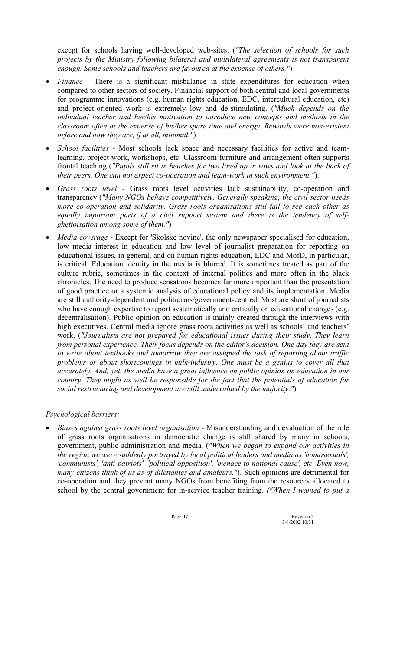except for schools having well-developed web-sites. (*"The selection of schools for such projects by the Ministry following bilateral and multilateral agreements is not transparent enough. Some schools and teachers are favoured at the expense of others."*)

- *Finance* There is a significant misbalance in state expenditures for education when compared to other sectors of society. Financial support of both central and local governments for programme innovations (e.g. human rights education, EDC, intercultural education, etc) and project-oriented work is extremely low and de-stimulating. (*"Much depends on the individual teacher and her/his motivation to introduce new concepts and methods in the classroom often at the expense of his/her spare time and energy. Rewards were non-existent before and now they are, if at all, minimal."*)
- *School facilities* Most schools lack space and necessary facilities for active and teamlearning, project-work, workshops, etc. Classroom furniture and arrangement often supports frontal teaching (*"Pupils still sit in benches for two lined up in rows and look at the back of their peers. One can not expect co-operation and team-work in such environment."*).
- *Grass roots level* Grass roots level activities lack sustainability, co-operation and transparency (*"Many NGOs behave competitively. Generally speaking, the civil sector needs more co-operation and solidarity. Grass roots organisations still fail to see each other as equally important parts of a civil support system and there is the tendency of selfghettoisation among some of them."*)
- *Media coverage* Except for 'Skolske novine', the only newspaper specialised for education, low media interest in education and low level of journalist preparation for reporting on educational issues, in general, and on human rights education, EDC and MofD, in particular, is critical. Education identity in the media is blurred. It is sometimes treated as part of the culture rubric, sometimes in the context of internal politics and more often in the black chronicles. The need to produce sensations becomes far more important than the presentation of good practice or a systemic analysis of educational policy and its implementation. Media are still authority-dependent and politicians/government-centred. Most are short of journalists who have enough expertise to report systematically and critically on educational changes (e.g. decentralisation). Public opinion on education is mainly created through the interviews with high executives. Central media ignore grass roots activities as well as schools' and teachers' work. (*"Journalists are not prepared for educational issues during their study. They learn from personal experience. Their focus depends on the editor's decision. One day they are sent to write about textbooks and tomorrow they are assigned the task of reporting about traffic problems or about shortcomings in milk-industry. One must be a genius to cover all that accurately. And, yet, the media have a great influence on public opinion on education in our country. They might as well be responsible for the fact that the potentials of education for social restructuring and development are still undervalued by the majority."*)

### *Psychological barriers:*

• *Biases against grass roots level organisation* - Misunderstanding and devaluation of the role of grass roots organisations in democratic change is still shared by many in schools, government, public administration and media. (*"When we began to expand our activities in the region we were suddenly portrayed by local political leaders and media as 'homosexuals', 'communists', 'anti-patriots', 'political opposition', 'menace to national cause', etc. Even now, many citizens think of us as of dilettantes and amateurs."*). Such opinions are detrimental for co-operation and they prevent many NGOs from benefiting from the resources allocated to school by the central government for in-service teacher training. *("When I wanted to put a* 

Page 47 Revision 3 3/4/2002 10:31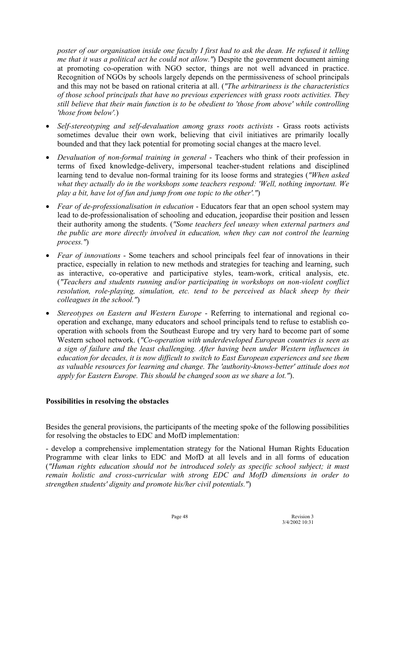*poster of our organisation inside one faculty I first had to ask the dean. He refused it telling me that it was a political act he could not allow."*) Despite the government document aiming at promoting co-operation with NGO sector, things are not well advanced in practice. Recognition of NGOs by schools largely depends on the permissiveness of school principals and this may not be based on rational criteria at all. (*"The arbitrariness is the characteristics of those school principals that have no previous experiences with grass roots activities. They still believe that their main function is to be obedient to 'those from above' while controlling 'those from below'.*)

- *Self-stereotyping and self-devaluation among grass roots activists* Grass roots activists sometimes devalue their own work, believing that civil initiatives are primarily locally bounded and that they lack potential for promoting social changes at the macro level.
- *Devaluation of non-formal training in general* Teachers who think of their profession in terms of fixed knowledge-delivery, impersonal teacher-student relations and disciplined learning tend to devalue non-formal training for its loose forms and strategies (*"When asked what they actually do in the workshops some teachers respond: 'Well, nothing important. We play a bit, have lot of fun and jump from one topic to the other'."*)
- *Fear of de-professionalisation in education* Educators fear that an open school system may lead to de-professionalisation of schooling and education, jeopardise their position and lessen their authority among the students. (*"Some teachers feel uneasy when external partners and the public are more directly involved in education, when they can not control the learning process."*)
- *Fear of innovations* Some teachers and school principals feel fear of innovations in their practice, especially in relation to new methods and strategies for teaching and learning, such as interactive, co-operative and participative styles, team-work, critical analysis, etc. (*"Teachers and students running and/or participating in workshops on non-violent conflict resolution, role-playing, simulation, etc. tend to be perceived as black sheep by their colleagues in the school."*)
- *Stereotypes on Eastern and Western Europe* Referring to international and regional cooperation and exchange, many educators and school principals tend to refuse to establish cooperation with schools from the Southeast Europe and try very hard to become part of some Western school network. (*"Co-operation with underdeveloped European countries is seen as a sign of failure and the least challenging. After having been under Western influences in education for decades, it is now difficult to switch to East European experiences and see them as valuable resources for learning and change. The 'authority-knows-better' attitude does not apply for Eastern Europe. This should be changed soon as we share a lot."*).

### **Possibilities in resolving the obstacles**

Besides the general provisions, the participants of the meeting spoke of the following possibilities for resolving the obstacles to EDC and MofD implementation:

- develop a comprehensive implementation strategy for the National Human Rights Education Programme with clear links to EDC and MofD at all levels and in all forms of education (*"Human rights education should not be introduced solely as specific school subject; it must remain holistic and cross-curricular with strong EDC and MofD dimensions in order to strengthen students' dignity and promote his/her civil potentials."*)

Page 48 Revision 3 3/4/2002 10:31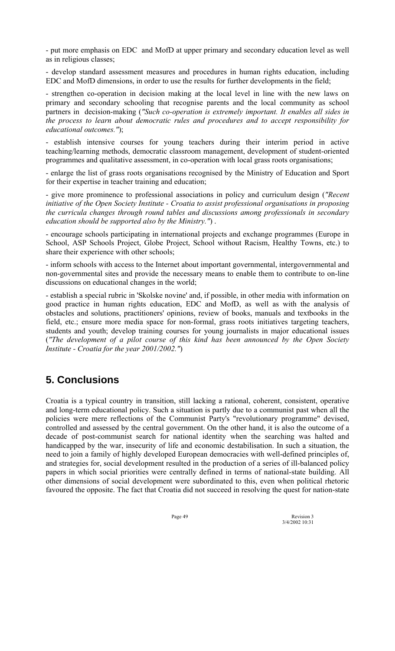- put more emphasis on EDC and MofD at upper primary and secondary education level as well as in religious classes;

- develop standard assessment measures and procedures in human rights education, including EDC and MofD dimensions, in order to use the results for further developments in the field;

- strengthen co-operation in decision making at the local level in line with the new laws on primary and secondary schooling that recognise parents and the local community as school partners in decision-making (*"Such co-operation is extremely important. It enables all sides in the process to learn about democratic rules and procedures and to accept responsibility for educational outcomes."*);

- establish intensive courses for young teachers during their interim period in active teaching/learning methods, democratic classroom management, development of student-oriented programmes and qualitative assessment, in co-operation with local grass roots organisations;

- enlarge the list of grass roots organisations recognised by the Ministry of Education and Sport for their expertise in teacher training and education;

- give more prominence to professional associations in policy and curriculum design (*"Recent initiative of the Open Society Institute - Croatia to assist professional organisations in proposing the curricula changes through round tables and discussions among professionals in secondary education should be supported also by the Ministry."*) .

- encourage schools participating in international projects and exchange programmes (Europe in School, ASP Schools Project, Globe Project, School without Racism, Healthy Towns, etc.) to share their experience with other schools;

- inform schools with access to the Internet about important governmental, intergovernmental and non-governmental sites and provide the necessary means to enable them to contribute to on-line discussions on educational changes in the world;

- establish a special rubric in 'Skolske novine' and, if possible, in other media with information on good practice in human rights education, EDC and MofD, as well as with the analysis of obstacles and solutions, practitioners' opinions, review of books, manuals and textbooks in the field, etc.; ensure more media space for non-formal, grass roots initiatives targeting teachers, students and youth; develop training courses for young journalists in major educational issues (*"The development of a pilot course of this kind has been announced by the Open Society Institute - Croatia for the year 2001/2002."*)

# **5. Conclusions**

Croatia is a typical country in transition, still lacking a rational, coherent, consistent, operative and long-term educational policy. Such a situation is partly due to a communist past when all the policies were mere reflections of the Communist Party's "revolutionary programme" devised, controlled and assessed by the central government. On the other hand, it is also the outcome of a decade of post-communist search for national identity when the searching was halted and handicapped by the war, insecurity of life and economic destabilisation. In such a situation, the need to join a family of highly developed European democracies with well-defined principles of, and strategies for, social development resulted in the production of a series of ill-balanced policy papers in which social priorities were centrally defined in terms of national-state building. All other dimensions of social development were subordinated to this, even when political rhetoric favoured the opposite. The fact that Croatia did not succeed in resolving the quest for nation-state

Page 49 Revision 3<br>  $3/4/2002$  10:31 3/4/2002 10:31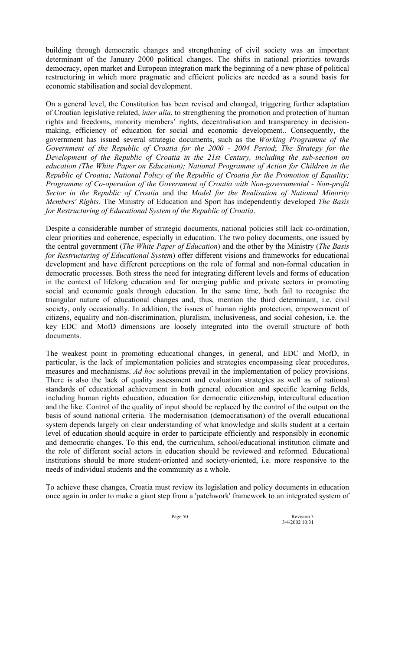building through democratic changes and strengthening of civil society was an important determinant of the January 2000 political changes. The shifts in national priorities towards democracy, open market and European integration mark the beginning of a new phase of political restructuring in which more pragmatic and efficient policies are needed as a sound basis for economic stabilisation and social development.

On a general level, the Constitution has been revised and changed, triggering further adaptation of Croatian legislative related, *inter alia*, to strengthening the promotion and protection of human rights and freedoms, minority members' rights, decentralisation and transparency in decisionmaking, efficiency of education for social and economic development.. Consequently, the government has issued several strategic documents, such as the *Working Programme of the Government of the Republic of Croatia for the 2000 - 2004 Period*; *The Strategy for the Development of the Republic of Croatia in the 21st Century, including the sub-section on education (The White Paper on Education); National Programme of Action for Children in the Republic of Croatia; National Policy of the Republic of Croatia for the Promotion of Equality; Programme of Co-operation of the Government of Croatia with Non-governmental - Non-profit Sector in the Republic of Croatia* and the *Model for the Realisation of National Minority Members' Rights.* The Ministry of Education and Sport has independently developed *The Basis for Restructuring of Educational System of the Republic of Croatia*.

Despite a considerable number of strategic documents, national policies still lack co-ordination, clear priorities and coherence, especially in education. The two policy documents, one issued by the central government (*The White Paper of Education*) and the other by the Ministry (*The Basis for Restructuring of Educational System*) offer different visions and frameworks for educational development and have different perceptions on the role of formal and non-formal education in democratic processes. Both stress the need for integrating different levels and forms of education in the context of lifelong education and for merging public and private sectors in promoting social and economic goals through education. In the same time, both fail to recognise the triangular nature of educational changes and, thus, mention the third determinant, i.e. civil society, only occasionally. In addition, the issues of human rights protection, empowerment of citizens, equality and non-discrimination, pluralism, inclusiveness, and social cohesion, i.e. the key EDC and MofD dimensions are loosely integrated into the overall structure of both documents.

The weakest point in promoting educational changes, in general, and EDC and MofD, in particular, is the lack of implementation policies and strategies encompassing clear procedures, measures and mechanisms. *Ad hoc* solutions prevail in the implementation of policy provisions. There is also the lack of quality assessment and evaluation strategies as well as of national standards of educational achievement in both general education and specific learning fields, including human rights education, education for democratic citizenship, intercultural education and the like. Control of the quality of input should be replaced by the control of the output on the basis of sound national criteria. The modernisation (democratisation) of the overall educational system depends largely on clear understanding of what knowledge and skills student at a certain level of education should acquire in order to participate efficiently and responsibly in economic and democratic changes. To this end, the curriculum, school/educational institution climate and the role of different social actors in education should be reviewed and reformed. Educational institutions should be more student-oriented and society-oriented, i.e. more responsive to the needs of individual students and the community as a whole.

To achieve these changes, Croatia must review its legislation and policy documents in education once again in order to make a giant step from a 'patchwork' framework to an integrated system of

Page 50 Revision 3 3/4/2002 10:31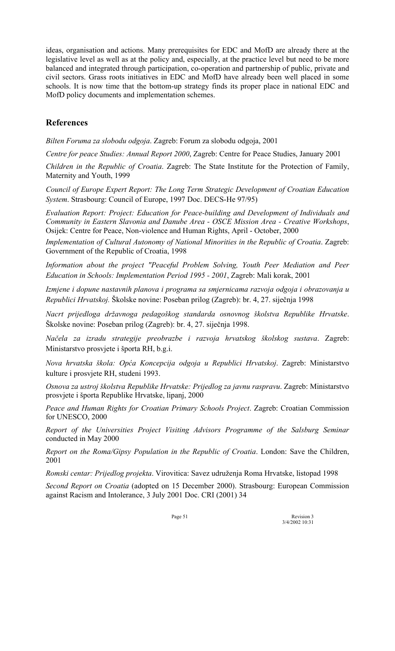ideas, organisation and actions. Many prerequisites for EDC and MofD are already there at the legislative level as well as at the policy and, especially, at the practice level but need to be more balanced and integrated through participation, co-operation and partnership of public, private and civil sectors. Grass roots initiatives in EDC and MofD have already been well placed in some schools. It is now time that the bottom-up strategy finds its proper place in national EDC and MofD policy documents and implementation schemes.

# **References**

*Bilten Foruma za slobodu odgoja*. Zagreb: Forum za slobodu odgoja, 2001

*Centre for peace Studies: Annual Report 2000*, Zagreb: Centre for Peace Studies, January 2001

*Children in the Republic of Croatia*. Zagreb: The State Institute for the Protection of Family, Maternity and Youth, 1999

*Council of Europe Expert Report: The Long Term Strategic Development of Croatian Education System*. Strasbourg: Council of Europe, 1997 Doc. DECS-He 97/95)

*Evaluation Report: Project: Education for Peace-building and Development of Individuals and Community in Eastern Slavonia and Danube Area - OSCE Mission Area - Creative Workshops*, Osijek: Centre for Peace, Non-violence and Human Rights, April - October, 2000

*Implementation of Cultural Autonomy of National Minorities in the Republic of Croatia*. Zagreb: Government of the Republic of Croatia, 1998

*Information about the project "Peaceful Problem Solving, Youth Peer Mediation and Peer Education in Schools: Implementation Period 1995 - 2001*, Zagreb: Mali korak, 2001

*Izmjene i dopune nastavnih planova i programa sa smjernicama razvoja odgoja i obrazovanja u Republici Hrvatskoj.* äkolske novine: Poseban prilog (Zagreb): br. 4, 27. siječnja 1998

Nacrt prijedloga državnoga pedagoškog standarda osnovnog školstva Republike Hrvatske. äkolske novine: Poseban prilog (Zagreb): br. 4, 27. siječnja 1998.

*Načela za izradu strategije preobrazbe i razvoja hrvatskog ökolskog sustava*. Zagreb: Ministarstvo prosvjete i öporta RH, b.g.i.

*Nova hrvatska ökola: Opća Koncepcija odgoja u Republici Hrvatskoj*. Zagreb: Ministarstvo kulture i prosvjete RH, studeni 1993.

*Osnova za ustroj ökolstva Republike Hrvatske: Prijedlog za javnu raspravu*. Zagreb: Ministarstvo prosvjete i öporta Republike Hrvatske, lipanj, 2000

*Peace and Human Rights for Croatian Primary Schools Project*. Zagreb: Croatian Commission for UNESCO, 2000

*Report of the Universities Project Visiting Advisors Programme of the Salsburg Seminar* conducted in May 2000

*Report on the Roma/Gipsy Population in the Republic of Croatia*. London: Save the Children, 2001

*Romski centar: Prijedlog projekta.* Virovitica: Savez udruženja Roma Hrvatske, listopad 1998

*Second Report on Croatia* (adopted on 15 December 2000). Strasbourg: European Commission against Racism and Intolerance, 3 July 2001 Doc. CRI (2001) 34

Page 51 Revision 3<br>3/4/2002 10:31 3/4/2002 10:31